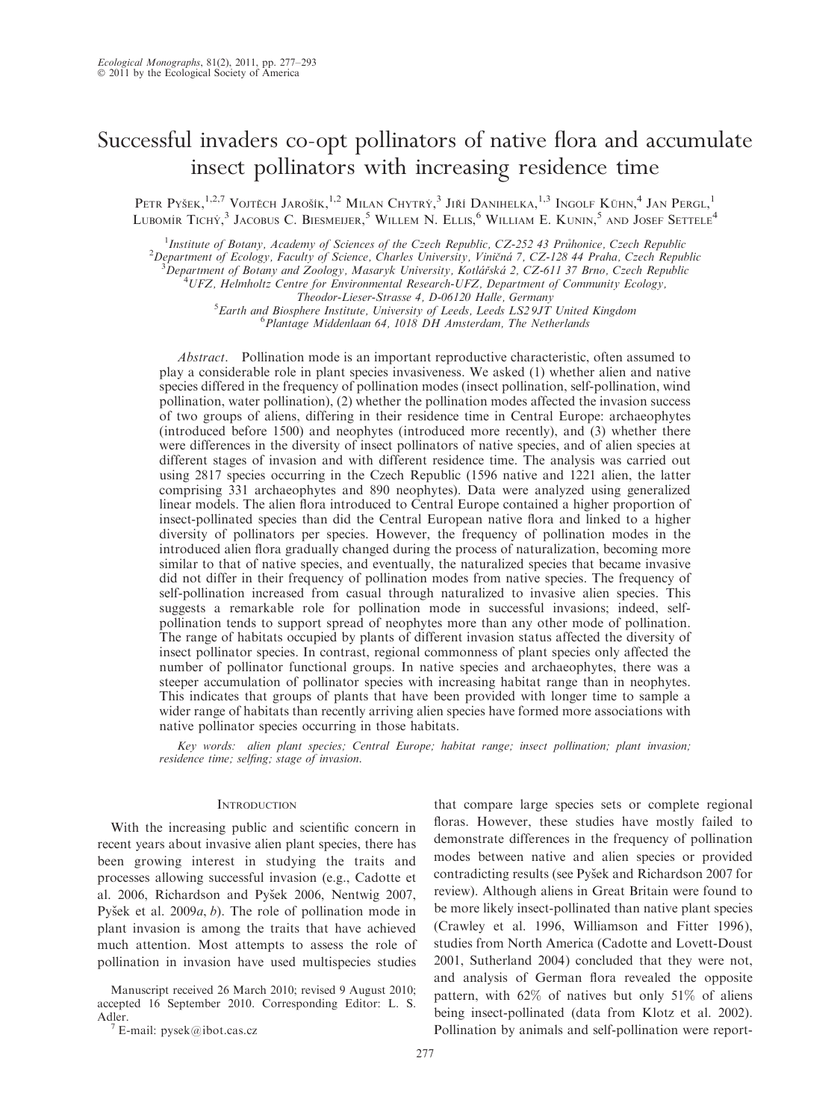# Successful invaders co-opt pollinators of native flora and accumulate insect pollinators with increasing residence time

Petr Pyšek,<sup>1,2,7</sup> Vojtěch Jarošík,<sup>1,2</sup> Milan Chytrý,<sup>3</sup> Jiří Danihelka,<sup>1,3</sup> Ingolf Kühn,<sup>4</sup> Jan Pergl,<sup>1</sup> ´ LUBOMÍR TICHÝ, <sup>3</sup> JACOBUS C. BIESMEIJER, <sup>5</sup> WILLEM N. ELLIS, <sup>6</sup> WILLIAM E. KUNIN, <sup>5</sup> AND JOSEF SETTELE<sup>4</sup>

<sup>1</sup>Institute of Botany, Academy of Sciences of the Czech Republic, CZ-252 43 Pruhonice, Czech Republic<br><sup>2</sup>Department of Ecology, Equity of Science, Charles University, Viničná 7, CZ-128 44 Praha, Czech Repu

<sup>2</sup>Department of Ecology, Faculty of Science, Charles University, Viničná 7, CZ-128 44 Praha, Czech Republic

n<br>Department of Botany and Zoology, Masaryk University, Kotlářská 2, CZ-611 37 Brno, Czech Republic

Earth and Biosphere Institute, University of Leeds, Leeds LS29JT United Kingdom<br>6 Plantage Middenlags 64, 1019 DH Ameterdam, The Netherlands <sup>6</sup>Plantage Middenlaan 64, 1018 DH Amsterdam, The Netherlands

Abstract. Pollination mode is an important reproductive characteristic, often assumed to play a considerable role in plant species invasiveness. We asked (1) whether alien and native species differed in the frequency of pollination modes (insect pollination, self-pollination, wind pollination, water pollination), (2) whether the pollination modes affected the invasion success of two groups of aliens, differing in their residence time in Central Europe: archaeophytes (introduced before 1500) and neophytes (introduced more recently), and (3) whether there were differences in the diversity of insect pollinators of native species, and of alien species at different stages of invasion and with different residence time. The analysis was carried out using 2817 species occurring in the Czech Republic (1596 native and 1221 alien, the latter comprising 331 archaeophytes and 890 neophytes). Data were analyzed using generalized linear models. The alien flora introduced to Central Europe contained a higher proportion of insect-pollinated species than did the Central European native flora and linked to a higher diversity of pollinators per species. However, the frequency of pollination modes in the introduced alien flora gradually changed during the process of naturalization, becoming more similar to that of native species, and eventually, the naturalized species that became invasive did not differ in their frequency of pollination modes from native species. The frequency of self-pollination increased from casual through naturalized to invasive alien species. This suggests a remarkable role for pollination mode in successful invasions; indeed, selfpollination tends to support spread of neophytes more than any other mode of pollination. The range of habitats occupied by plants of different invasion status affected the diversity of insect pollinator species. In contrast, regional commonness of plant species only affected the number of pollinator functional groups. In native species and archaeophytes, there was a steeper accumulation of pollinator species with increasing habitat range than in neophytes. This indicates that groups of plants that have been provided with longer time to sample a wider range of habitats than recently arriving alien species have formed more associations with native pollinator species occurring in those habitats.

Key words: alien plant species; Central Europe; habitat range; insect pollination; plant invasion; residence time; selfing; stage of invasion.

## **INTRODUCTION**

With the increasing public and scientific concern in recent years about invasive alien plant species, there has been growing interest in studying the traits and processes allowing successful invasion (e.g., Cadotte et al. 2006, Richardson and Pyšek 2006, Nentwig 2007, Pyšek et al.  $2009a, b$ ). The role of pollination mode in plant invasion is among the traits that have achieved much attention. Most attempts to assess the role of pollination in invasion have used multispecies studies

Manuscript received 26 March 2010; revised 9 August 2010; accepted 16 September 2010. Corresponding Editor: L. S. Adler.<br><sup>7</sup> E-mail: pysek@ibot.cas.cz

that compare large species sets or complete regional floras. However, these studies have mostly failed to demonstrate differences in the frequency of pollination modes between native and alien species or provided contradicting results (see Pyšek and Richardson 2007 for review). Although aliens in Great Britain were found to be more likely insect-pollinated than native plant species (Crawley et al. 1996, Williamson and Fitter 1996), studies from North America (Cadotte and Lovett-Doust 2001, Sutherland 2004) concluded that they were not, and analysis of German flora revealed the opposite pattern, with 62% of natives but only 51% of aliens being insect-pollinated (data from Klotz et al. 2002). Pollination by animals and self-pollination were report-

UFZ, Helmholtz Centre for Environmental Research-UFZ, Department of Community Ecology,

Theodor-Lieser-Strasse 4, D-06120 Halle, Germany<br><sup>5</sup> Earth and Biosphere Institute, University of Leeds, Leeds J S2.01T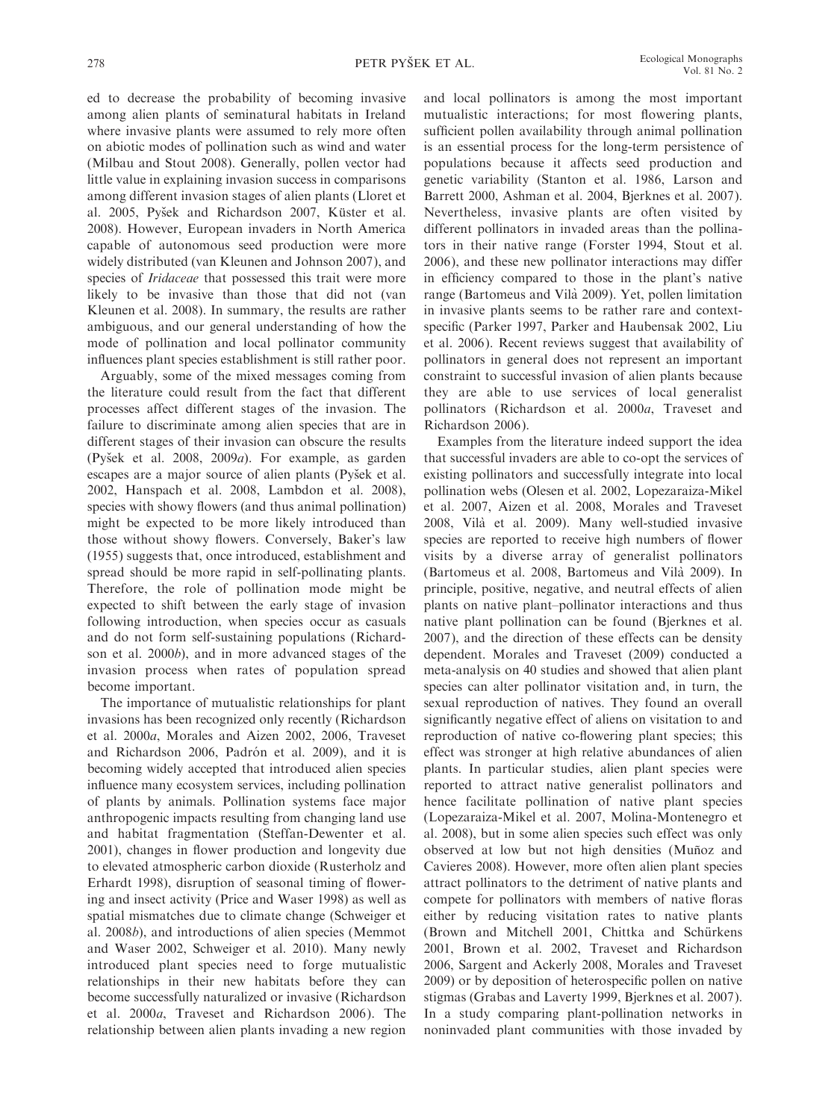ed to decrease the probability of becoming invasive among alien plants of seminatural habitats in Ireland where invasive plants were assumed to rely more often on abiotic modes of pollination such as wind and water (Milbau and Stout 2008). Generally, pollen vector had little value in explaining invasion success in comparisons among different invasion stages of alien plants (Lloret et al. 2005, Pyšek and Richardson 2007, Küster et al. 2008). However, European invaders in North America capable of autonomous seed production were more widely distributed (van Kleunen and Johnson 2007), and species of *Iridaceae* that possessed this trait were more likely to be invasive than those that did not (van Kleunen et al. 2008). In summary, the results are rather ambiguous, and our general understanding of how the mode of pollination and local pollinator community influences plant species establishment is still rather poor.

Arguably, some of the mixed messages coming from the literature could result from the fact that different processes affect different stages of the invasion. The failure to discriminate among alien species that are in different stages of their invasion can obscure the results (Pyšek et al. 2008, 2009 $a$ ). For example, as garden escapes are a major source of alien plants (Pyšek et al. 2002, Hanspach et al. 2008, Lambdon et al. 2008), species with showy flowers (and thus animal pollination) might be expected to be more likely introduced than those without showy flowers. Conversely, Baker's law (1955) suggests that, once introduced, establishment and spread should be more rapid in self-pollinating plants. Therefore, the role of pollination mode might be expected to shift between the early stage of invasion following introduction, when species occur as casuals and do not form self-sustaining populations (Richardson et al. 2000b), and in more advanced stages of the invasion process when rates of population spread become important.

The importance of mutualistic relationships for plant invasions has been recognized only recently (Richardson et al. 2000a, Morales and Aizen 2002, 2006, Traveset and Richardson 2006, Padrón et al. 2009), and it is becoming widely accepted that introduced alien species influence many ecosystem services, including pollination of plants by animals. Pollination systems face major anthropogenic impacts resulting from changing land use and habitat fragmentation (Steffan-Dewenter et al. 2001), changes in flower production and longevity due to elevated atmospheric carbon dioxide (Rusterholz and Erhardt 1998), disruption of seasonal timing of flowering and insect activity (Price and Waser 1998) as well as spatial mismatches due to climate change (Schweiger et al. 2008b), and introductions of alien species (Memmot and Waser 2002, Schweiger et al. 2010). Many newly introduced plant species need to forge mutualistic relationships in their new habitats before they can become successfully naturalized or invasive (Richardson et al. 2000a, Traveset and Richardson 2006). The relationship between alien plants invading a new region and local pollinators is among the most important mutualistic interactions; for most flowering plants, sufficient pollen availability through animal pollination is an essential process for the long-term persistence of populations because it affects seed production and genetic variability (Stanton et al. 1986, Larson and Barrett 2000, Ashman et al. 2004, Bjerknes et al. 2007). Nevertheless, invasive plants are often visited by different pollinators in invaded areas than the pollinators in their native range (Forster 1994, Stout et al. 2006), and these new pollinator interactions may differ in efficiency compared to those in the plant's native range (Bartomeus and Vila` 2009). Yet, pollen limitation in invasive plants seems to be rather rare and contextspecific (Parker 1997, Parker and Haubensak 2002, Liu et al. 2006). Recent reviews suggest that availability of pollinators in general does not represent an important constraint to successful invasion of alien plants because they are able to use services of local generalist pollinators (Richardson et al. 2000a, Traveset and Richardson 2006).

Examples from the literature indeed support the idea that successful invaders are able to co-opt the services of existing pollinators and successfully integrate into local pollination webs (Olesen et al. 2002, Lopezaraiza-Mikel et al. 2007, Aizen et al. 2008, Morales and Traveset 2008, Vila` et al. 2009). Many well-studied invasive species are reported to receive high numbers of flower visits by a diverse array of generalist pollinators (Bartomeus et al. 2008, Bartomeus and Vila` 2009). In principle, positive, negative, and neutral effects of alien plants on native plant–pollinator interactions and thus native plant pollination can be found (Bjerknes et al. 2007), and the direction of these effects can be density dependent. Morales and Traveset (2009) conducted a meta-analysis on 40 studies and showed that alien plant species can alter pollinator visitation and, in turn, the sexual reproduction of natives. They found an overall significantly negative effect of aliens on visitation to and reproduction of native co-flowering plant species; this effect was stronger at high relative abundances of alien plants. In particular studies, alien plant species were reported to attract native generalist pollinators and hence facilitate pollination of native plant species (Lopezaraiza-Mikel et al. 2007, Molina-Montenegro et al. 2008), but in some alien species such effect was only observed at low but not high densities (Muñoz and Cavieres 2008). However, more often alien plant species attract pollinators to the detriment of native plants and compete for pollinators with members of native floras either by reducing visitation rates to native plants (Brown and Mitchell 2001, Chittka and Schürkens 2001, Brown et al. 2002, Traveset and Richardson 2006, Sargent and Ackerly 2008, Morales and Traveset 2009) or by deposition of heterospecific pollen on native stigmas (Grabas and Laverty 1999, Bjerknes et al. 2007). In a study comparing plant-pollination networks in noninvaded plant communities with those invaded by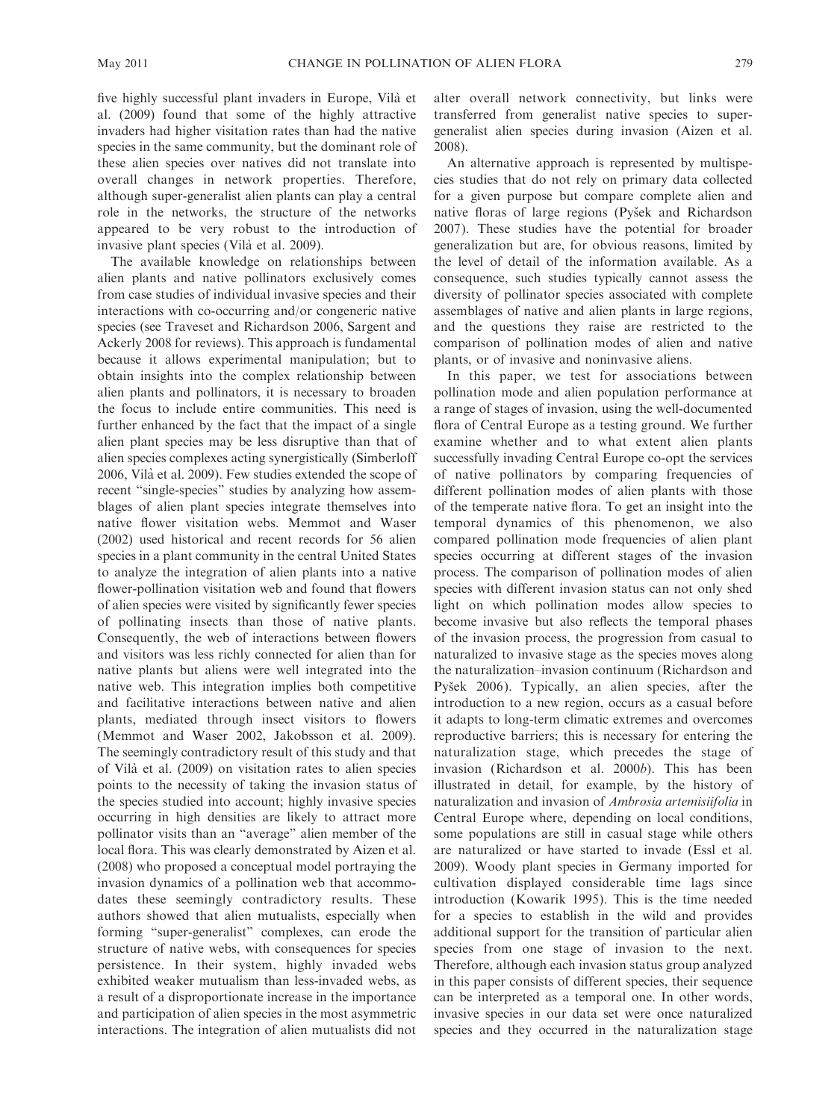2008).

al. (2009) found that some of the highly attractive invaders had higher visitation rates than had the native species in the same community, but the dominant role of these alien species over natives did not translate into overall changes in network properties. Therefore, although super-generalist alien plants can play a central role in the networks, the structure of the networks appeared to be very robust to the introduction of invasive plant species (Vilà et al. 2009).

The available knowledge on relationships between alien plants and native pollinators exclusively comes from case studies of individual invasive species and their interactions with co-occurring and/or congeneric native species (see Traveset and Richardson 2006, Sargent and Ackerly 2008 for reviews). This approach is fundamental because it allows experimental manipulation; but to obtain insights into the complex relationship between alien plants and pollinators, it is necessary to broaden the focus to include entire communities. This need is further enhanced by the fact that the impact of a single alien plant species may be less disruptive than that of alien species complexes acting synergistically (Simberloff 2006, Vila` et al. 2009). Few studies extended the scope of recent ''single-species'' studies by analyzing how assemblages of alien plant species integrate themselves into native flower visitation webs. Memmot and Waser (2002) used historical and recent records for 56 alien species in a plant community in the central United States to analyze the integration of alien plants into a native flower-pollination visitation web and found that flowers of alien species were visited by significantly fewer species of pollinating insects than those of native plants. Consequently, the web of interactions between flowers and visitors was less richly connected for alien than for native plants but aliens were well integrated into the native web. This integration implies both competitive and facilitative interactions between native and alien plants, mediated through insect visitors to flowers (Memmot and Waser 2002, Jakobsson et al. 2009). The seemingly contradictory result of this study and that of Vila` et al. (2009) on visitation rates to alien species points to the necessity of taking the invasion status of the species studied into account; highly invasive species occurring in high densities are likely to attract more pollinator visits than an ''average'' alien member of the local flora. This was clearly demonstrated by Aizen et al. (2008) who proposed a conceptual model portraying the invasion dynamics of a pollination web that accommodates these seemingly contradictory results. These authors showed that alien mutualists, especially when forming ''super-generalist'' complexes, can erode the structure of native webs, with consequences for species persistence. In their system, highly invaded webs exhibited weaker mutualism than less-invaded webs, as a result of a disproportionate increase in the importance and participation of alien species in the most asymmetric interactions. The integration of alien mutualists did not

An alternative approach is represented by multispecies studies that do not rely on primary data collected for a given purpose but compare complete alien and native floras of large regions (Pyšek and Richardson 2007). These studies have the potential for broader generalization but are, for obvious reasons, limited by the level of detail of the information available. As a consequence, such studies typically cannot assess the diversity of pollinator species associated with complete assemblages of native and alien plants in large regions, and the questions they raise are restricted to the comparison of pollination modes of alien and native plants, or of invasive and noninvasive aliens.

In this paper, we test for associations between pollination mode and alien population performance at a range of stages of invasion, using the well-documented flora of Central Europe as a testing ground. We further examine whether and to what extent alien plants successfully invading Central Europe co-opt the services of native pollinators by comparing frequencies of different pollination modes of alien plants with those of the temperate native flora. To get an insight into the temporal dynamics of this phenomenon, we also compared pollination mode frequencies of alien plant species occurring at different stages of the invasion process. The comparison of pollination modes of alien species with different invasion status can not only shed light on which pollination modes allow species to become invasive but also reflects the temporal phases of the invasion process, the progression from casual to naturalized to invasive stage as the species moves along the naturalization–invasion continuum (Richardson and Pyšek 2006). Typically, an alien species, after the introduction to a new region, occurs as a casual before it adapts to long-term climatic extremes and overcomes reproductive barriers; this is necessary for entering the naturalization stage, which precedes the stage of invasion (Richardson et al. 2000b). This has been illustrated in detail, for example, by the history of naturalization and invasion of Ambrosia artemisiifolia in Central Europe where, depending on local conditions, some populations are still in casual stage while others are naturalized or have started to invade (Essl et al. 2009). Woody plant species in Germany imported for cultivation displayed considerable time lags since introduction (Kowarik 1995). This is the time needed for a species to establish in the wild and provides additional support for the transition of particular alien species from one stage of invasion to the next. Therefore, although each invasion status group analyzed in this paper consists of different species, their sequence can be interpreted as a temporal one. In other words, invasive species in our data set were once naturalized species and they occurred in the naturalization stage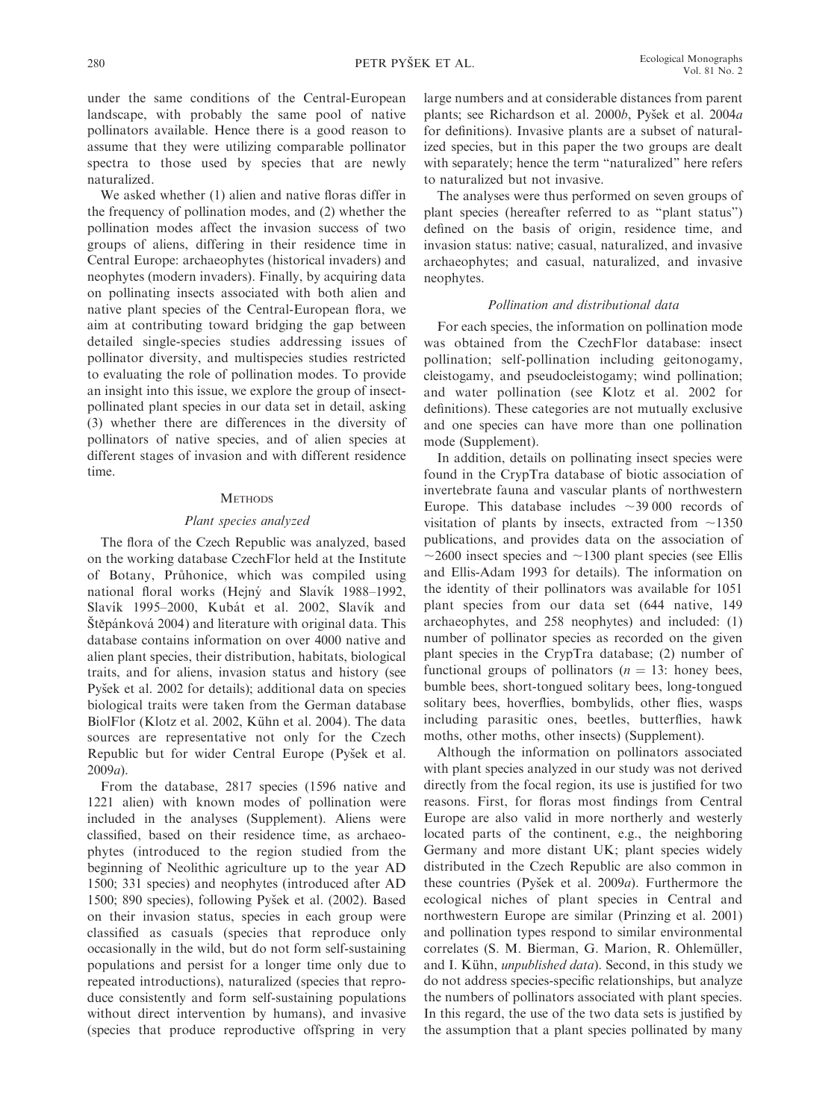under the same conditions of the Central-European landscape, with probably the same pool of native pollinators available. Hence there is a good reason to assume that they were utilizing comparable pollinator spectra to those used by species that are newly naturalized.

We asked whether (1) alien and native floras differ in the frequency of pollination modes, and (2) whether the pollination modes affect the invasion success of two groups of aliens, differing in their residence time in Central Europe: archaeophytes (historical invaders) and neophytes (modern invaders). Finally, by acquiring data on pollinating insects associated with both alien and native plant species of the Central-European flora, we aim at contributing toward bridging the gap between detailed single-species studies addressing issues of pollinator diversity, and multispecies studies restricted to evaluating the role of pollination modes. To provide an insight into this issue, we explore the group of insectpollinated plant species in our data set in detail, asking (3) whether there are differences in the diversity of pollinators of native species, and of alien species at different stages of invasion and with different residence time.

#### **METHODS**

## Plant species analyzed

The flora of the Czech Republic was analyzed, based on the working database CzechFlor held at the Institute of Botany, Průhonice, which was compiled using national floral works (Hejný and Slavík 1988–1992, Slavík 1995–2000, Kubát et al. 2002, Slavík and Štěpánková 2004) and literature with original data. This database contains information on over 4000 native and alien plant species, their distribution, habitats, biological traits, and for aliens, invasion status and history (see Pyšek et al. 2002 for details); additional data on species biological traits were taken from the German database BiolFlor (Klotz et al. 2002, Kühn et al. 2004). The data sources are representative not only for the Czech Republic but for wider Central Europe (Pyšek et al.  $2009a$ ).

From the database, 2817 species (1596 native and 1221 alien) with known modes of pollination were included in the analyses (Supplement). Aliens were classified, based on their residence time, as archaeophytes (introduced to the region studied from the beginning of Neolithic agriculture up to the year AD 1500; 331 species) and neophytes (introduced after AD 1500; 890 species), following Pyšek et al. (2002). Based on their invasion status, species in each group were classified as casuals (species that reproduce only occasionally in the wild, but do not form self-sustaining populations and persist for a longer time only due to repeated introductions), naturalized (species that reproduce consistently and form self-sustaining populations without direct intervention by humans), and invasive (species that produce reproductive offspring in very large numbers and at considerable distances from parent plants; see Richardson et al. 2000b, Pyšek et al. 2004a for definitions). Invasive plants are a subset of naturalized species, but in this paper the two groups are dealt with separately; hence the term ''naturalized'' here refers to naturalized but not invasive.

The analyses were thus performed on seven groups of plant species (hereafter referred to as ''plant status'') defined on the basis of origin, residence time, and invasion status: native; casual, naturalized, and invasive archaeophytes; and casual, naturalized, and invasive neophytes.

## Pollination and distributional data

For each species, the information on pollination mode was obtained from the CzechFlor database: insect pollination; self-pollination including geitonogamy, cleistogamy, and pseudocleistogamy; wind pollination; and water pollination (see Klotz et al. 2002 for definitions). These categories are not mutually exclusive and one species can have more than one pollination mode (Supplement).

In addition, details on pollinating insect species were found in the CrypTra database of biotic association of invertebrate fauna and vascular plants of northwestern Europe. This database includes  $\sim$ 39 000 records of visitation of plants by insects, extracted from  $\sim$ 1350 publications, and provides data on the association of  $\sim$ 2600 insect species and  $\sim$ 1300 plant species (see Ellis and Ellis-Adam 1993 for details). The information on the identity of their pollinators was available for 1051 plant species from our data set (644 native, 149 archaeophytes, and 258 neophytes) and included: (1) number of pollinator species as recorded on the given plant species in the CrypTra database; (2) number of functional groups of pollinators  $(n = 13:$  honey bees, bumble bees, short-tongued solitary bees, long-tongued solitary bees, hoverflies, bombylids, other flies, wasps including parasitic ones, beetles, butterflies, hawk moths, other moths, other insects) (Supplement).

Although the information on pollinators associated with plant species analyzed in our study was not derived directly from the focal region, its use is justified for two reasons. First, for floras most findings from Central Europe are also valid in more northerly and westerly located parts of the continent, e.g., the neighboring Germany and more distant UK; plant species widely distributed in the Czech Republic are also common in these countries (Pyšek et al.  $2009a$ ). Furthermore the ecological niches of plant species in Central and northwestern Europe are similar (Prinzing et al. 2001) and pollination types respond to similar environmental correlates (S. M. Bierman, G. Marion, R. Ohlemüller, and I. Kühn, *unpublished data*). Second, in this study we do not address species-specific relationships, but analyze the numbers of pollinators associated with plant species. In this regard, the use of the two data sets is justified by the assumption that a plant species pollinated by many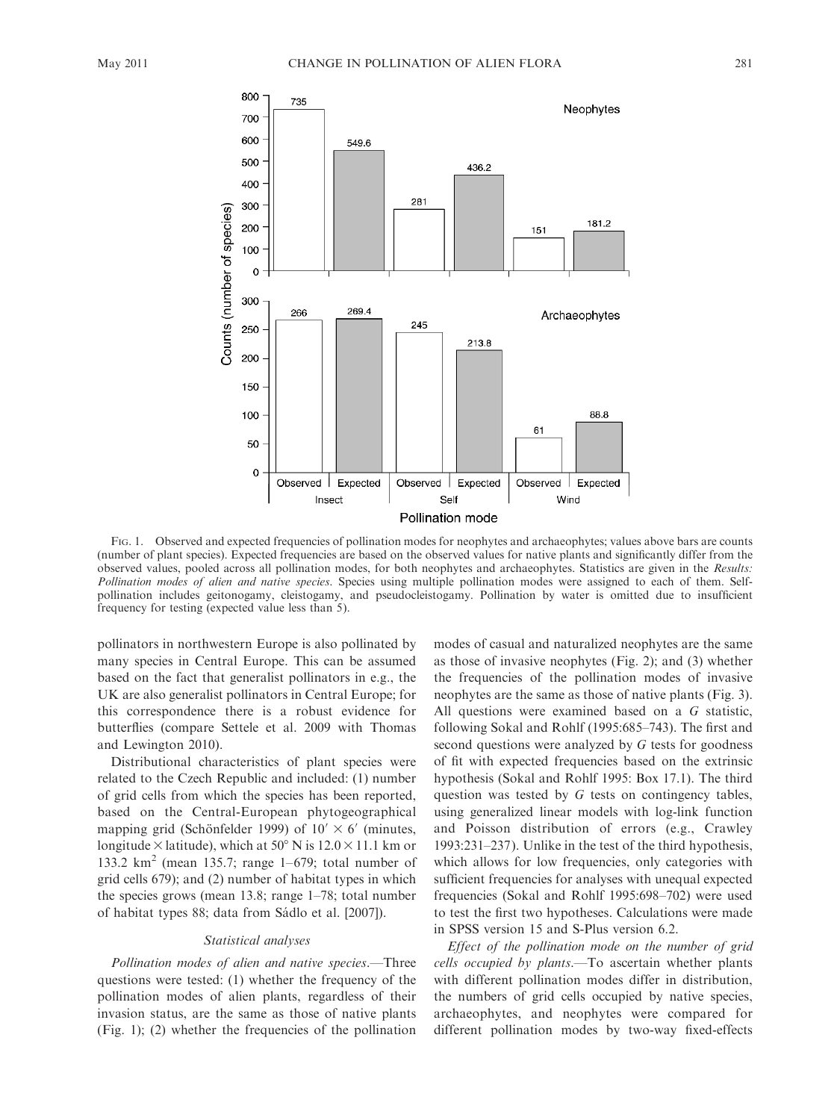

FIG. 1. Observed and expected frequencies of pollination modes for neophytes and archaeophytes; values above bars are counts (number of plant species). Expected frequencies are based on the observed values for native plants and significantly differ from the observed values, pooled across all pollination modes, for both neophytes and archaeophytes. Statistics are given in the Results: Pollination modes of alien and native species. Species using multiple pollination modes were assigned to each of them. Selfpollination includes geitonogamy, cleistogamy, and pseudocleistogamy. Pollination by water is omitted due to insufficient frequency for testing (expected value less than 5).

pollinators in northwestern Europe is also pollinated by many species in Central Europe. This can be assumed based on the fact that generalist pollinators in e.g., the UK are also generalist pollinators in Central Europe; for this correspondence there is a robust evidence for butterflies (compare Settele et al. 2009 with Thomas and Lewington 2010).

Distributional characteristics of plant species were related to the Czech Republic and included: (1) number of grid cells from which the species has been reported, based on the Central-European phytogeographical mapping grid (Schönfelder 1999) of  $10' \times 6'$  (minutes, longitude  $\times$  latitude), which at 50° N is 12.0  $\times$  11.1 km or 133.2  $km^2$  (mean 135.7; range 1–679; total number of grid cells 679); and (2) number of habitat types in which the species grows (mean 13.8; range 1–78; total number of habitat types 88; data from Sádlo et al. [2007]).

### Statistical analyses

Pollination modes of alien and native species.—Three questions were tested: (1) whether the frequency of the pollination modes of alien plants, regardless of their invasion status, are the same as those of native plants (Fig. 1); (2) whether the frequencies of the pollination modes of casual and naturalized neophytes are the same as those of invasive neophytes (Fig. 2); and (3) whether the frequencies of the pollination modes of invasive neophytes are the same as those of native plants (Fig. 3). All questions were examined based on a G statistic, following Sokal and Rohlf (1995:685–743). The first and second questions were analyzed by G tests for goodness of fit with expected frequencies based on the extrinsic hypothesis (Sokal and Rohlf 1995: Box 17.1). The third question was tested by  $G$  tests on contingency tables, using generalized linear models with log-link function and Poisson distribution of errors (e.g., Crawley 1993:231–237). Unlike in the test of the third hypothesis, which allows for low frequencies, only categories with sufficient frequencies for analyses with unequal expected frequencies (Sokal and Rohlf 1995:698–702) were used to test the first two hypotheses. Calculations were made in SPSS version 15 and S-Plus version 6.2.

Effect of the pollination mode on the number of grid cells occupied by plants.—To ascertain whether plants with different pollination modes differ in distribution, the numbers of grid cells occupied by native species, archaeophytes, and neophytes were compared for different pollination modes by two-way fixed-effects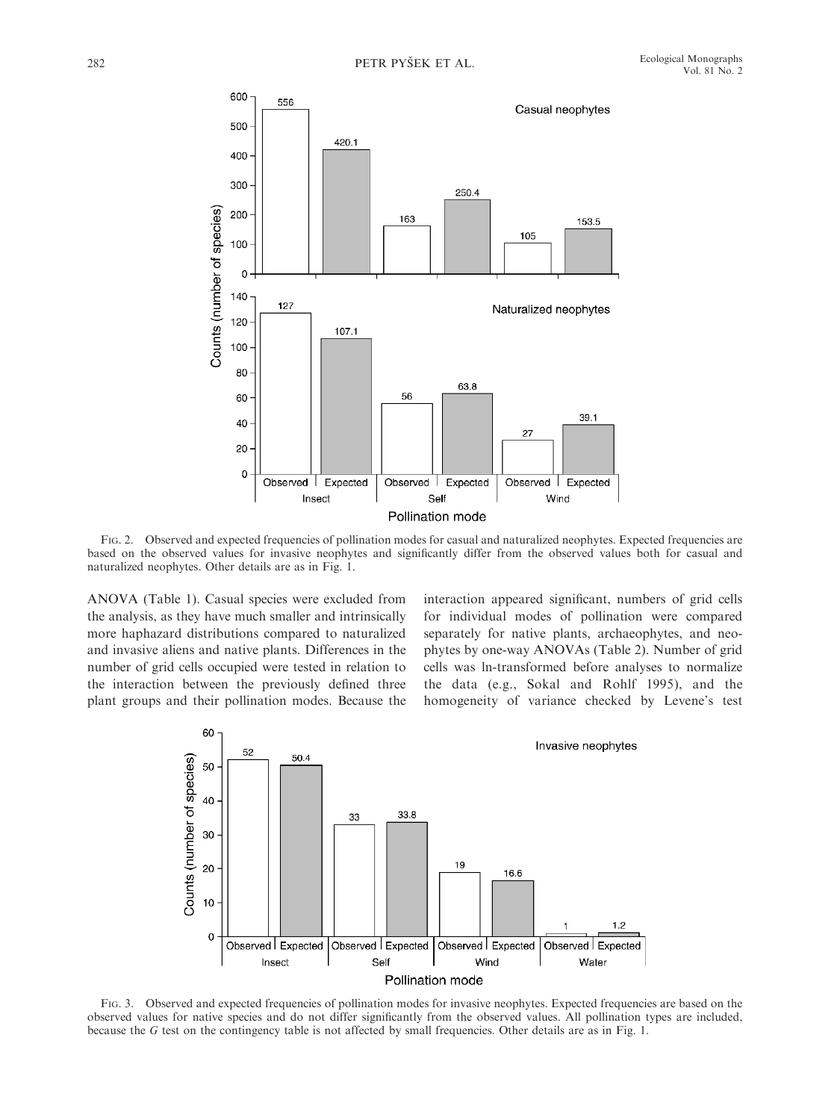

FIG. 2. Observed and expected frequencies of pollination modes for casual and naturalized neophytes. Expected frequencies are based on the observed values for invasive neophytes and significantly differ from the observed values both for casual and naturalized neophytes. Other details are as in Fig. 1.

ANOVA (Table 1). Casual species were excluded from the analysis, as they have much smaller and intrinsically more haphazard distributions compared to naturalized and invasive aliens and native plants. Differences in the number of grid cells occupied were tested in relation to the interaction between the previously defined three plant groups and their pollination modes. Because the interaction appeared significant, numbers of grid cells for individual modes of pollination were compared separately for native plants, archaeophytes, and neophytes by one-way ANOVAs (Table 2). Number of grid cells was ln-transformed before analyses to normalize the data (e.g., Sokal and Rohlf 1995), and the homogeneity of variance checked by Levene's test



FIG. 3. Observed and expected frequencies of pollination modes for invasive neophytes. Expected frequencies are based on the observed values for native species and do not differ significantly from the observed values. All pollination types are included, because the G test on the contingency table is not affected by small frequencies. Other details are as in Fig. 1.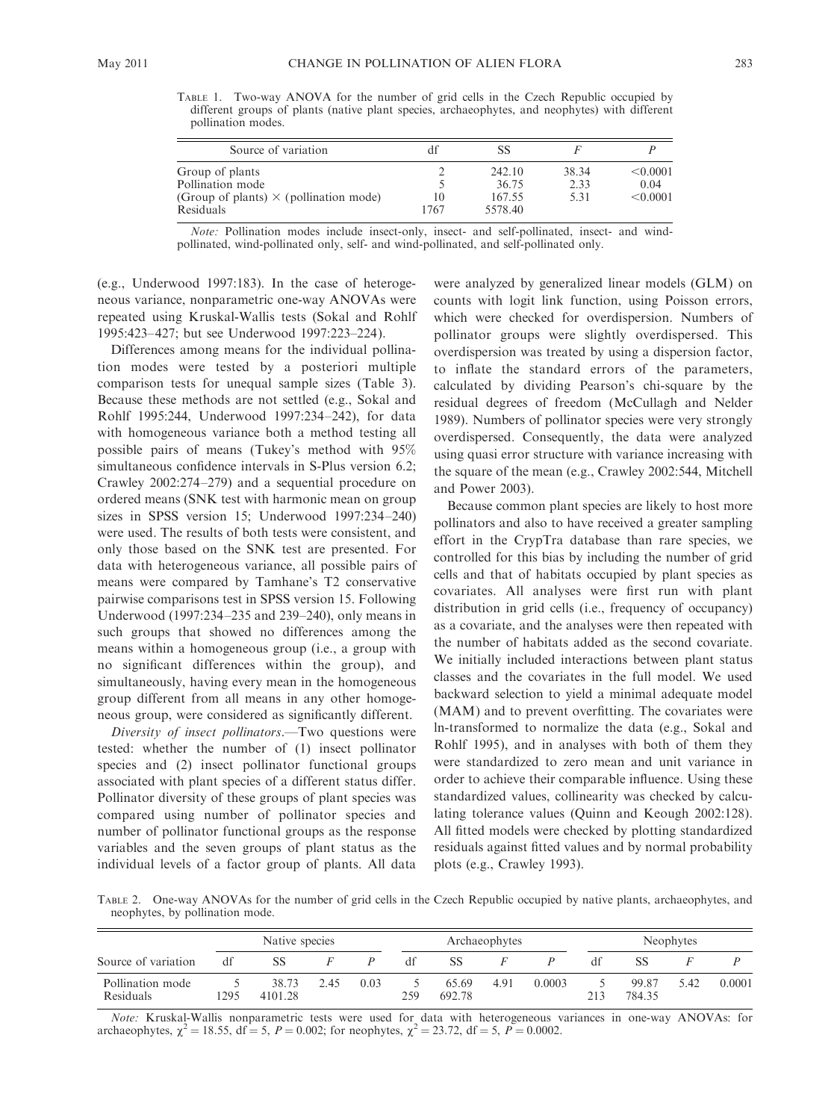|  |  |                    |  |  |  |  |  |  |  | TABLE 1. Two-way ANOVA for the number of grid cells in the Czech Republic occupied by          |  |  |
|--|--|--------------------|--|--|--|--|--|--|--|------------------------------------------------------------------------------------------------|--|--|
|  |  |                    |  |  |  |  |  |  |  | different groups of plants (native plant species, archaeophytes, and neophytes) with different |  |  |
|  |  | pollination modes. |  |  |  |  |  |  |  |                                                                                                |  |  |
|  |  |                    |  |  |  |  |  |  |  |                                                                                                |  |  |

| Source of variation                                                                               | df         |                                      |                       |                              |
|---------------------------------------------------------------------------------------------------|------------|--------------------------------------|-----------------------|------------------------------|
| Group of plants<br>Pollination mode<br>(Group of plants) $\times$ (pollination mode)<br>Residuals | 10<br>1767 | 242.10<br>36.75<br>167.55<br>5578.40 | 38.34<br>2.33<br>5.31 | < 0.0001<br>0.04<br>< 0.0001 |

Note: Pollination modes include insect-only, insect- and self-pollinated, insect- and windpollinated, wind-pollinated only, self- and wind-pollinated, and self-pollinated only.

(e.g., Underwood 1997:183). In the case of heterogeneous variance, nonparametric one-way ANOVAs were repeated using Kruskal-Wallis tests (Sokal and Rohlf 1995:423–427; but see Underwood 1997:223–224).

Differences among means for the individual pollination modes were tested by a posteriori multiple comparison tests for unequal sample sizes (Table 3). Because these methods are not settled (e.g., Sokal and Rohlf 1995:244, Underwood 1997:234–242), for data with homogeneous variance both a method testing all possible pairs of means (Tukey's method with 95% simultaneous confidence intervals in S-Plus version 6.2; Crawley 2002:274–279) and a sequential procedure on ordered means (SNK test with harmonic mean on group sizes in SPSS version 15; Underwood 1997:234–240) were used. The results of both tests were consistent, and only those based on the SNK test are presented. For data with heterogeneous variance, all possible pairs of means were compared by Tamhane's T2 conservative pairwise comparisons test in SPSS version 15. Following Underwood (1997:234–235 and 239–240), only means in such groups that showed no differences among the means within a homogeneous group (i.e., a group with no significant differences within the group), and simultaneously, having every mean in the homogeneous group different from all means in any other homogeneous group, were considered as significantly different.

Diversity of insect pollinators.—Two questions were tested: whether the number of (1) insect pollinator species and (2) insect pollinator functional groups associated with plant species of a different status differ. Pollinator diversity of these groups of plant species was compared using number of pollinator species and number of pollinator functional groups as the response variables and the seven groups of plant status as the individual levels of a factor group of plants. All data

were analyzed by generalized linear models (GLM) on counts with logit link function, using Poisson errors, which were checked for overdispersion. Numbers of pollinator groups were slightly overdispersed. This overdispersion was treated by using a dispersion factor, to inflate the standard errors of the parameters, calculated by dividing Pearson's chi-square by the residual degrees of freedom (McCullagh and Nelder 1989). Numbers of pollinator species were very strongly overdispersed. Consequently, the data were analyzed using quasi error structure with variance increasing with the square of the mean (e.g., Crawley 2002:544, Mitchell and Power 2003).

Because common plant species are likely to host more pollinators and also to have received a greater sampling effort in the CrypTra database than rare species, we controlled for this bias by including the number of grid cells and that of habitats occupied by plant species as covariates. All analyses were first run with plant distribution in grid cells (i.e., frequency of occupancy) as a covariate, and the analyses were then repeated with the number of habitats added as the second covariate. We initially included interactions between plant status classes and the covariates in the full model. We used backward selection to yield a minimal adequate model (MAM) and to prevent overfitting. The covariates were ln-transformed to normalize the data (e.g., Sokal and Rohlf 1995), and in analyses with both of them they were standardized to zero mean and unit variance in order to achieve their comparable influence. Using these standardized values, collinearity was checked by calculating tolerance values (Quinn and Keough 2002:128). All fitted models were checked by plotting standardized residuals against fitted values and by normal probability plots (e.g., Crawley 1993).

TABLE 2. One-way ANOVAs for the number of grid cells in the Czech Republic occupied by native plants, archaeophytes, and neophytes, by pollination mode.

|                               |      | Native species   |          |      |     |                 | Archaeophytes |        | Neophytes |                 |      |        |
|-------------------------------|------|------------------|----------|------|-----|-----------------|---------------|--------|-----------|-----------------|------|--------|
| Source of variation           | df   | <b>SS</b>        | <b>H</b> |      | df  | SS              |               |        | đt        | SS              |      |        |
| Pollination mode<br>Residuals | 1295 | 38.73<br>4101.28 | 2.45     | 0.03 | 259 | 65.69<br>692.78 | 4.91          | 0.0003 | 213       | 99.87<br>784.35 | 5.42 | 0.0001 |

Note: Kruskal-Wallis nonparametric tests were used for data with heterogeneous variances in one-way ANOVAs: for archaeophytes,  $\chi^2 = 18.55$ , df = 5, P = 0.002; for neophytes,  $\chi^2 = 23.72$ , df = 5, P = 0.0002.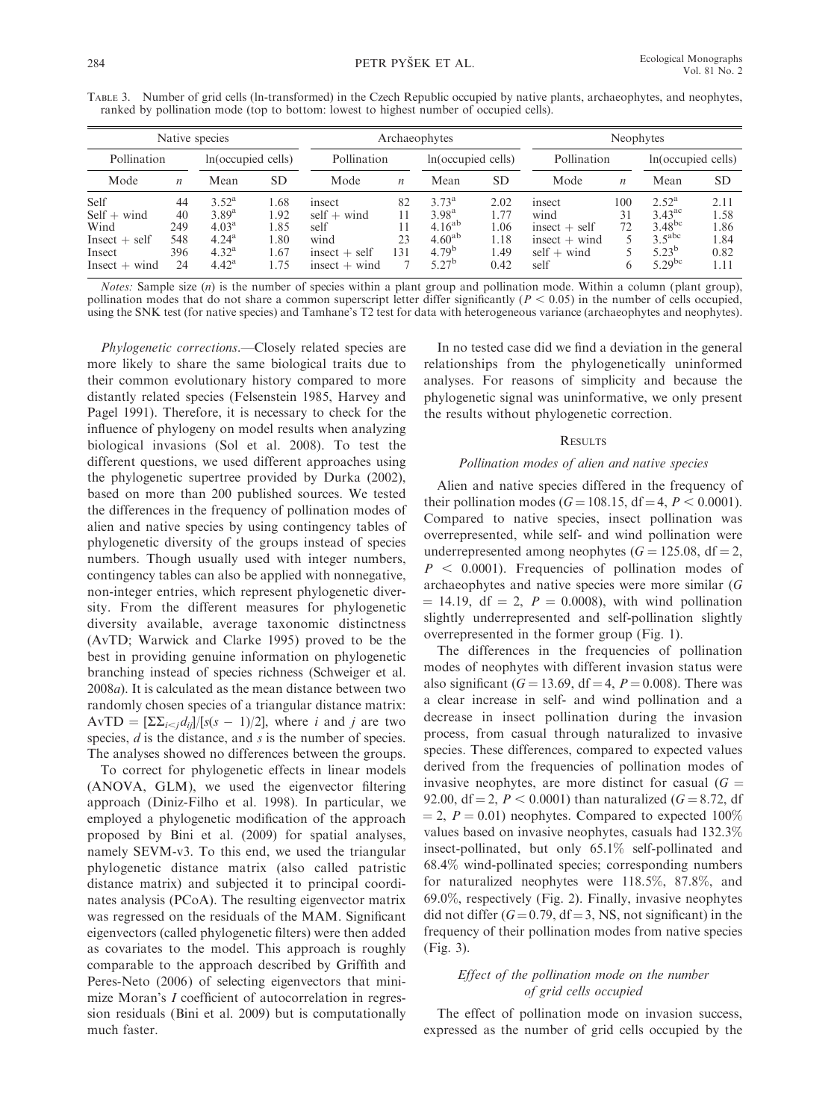|                                                                               |                                     | Native species                                                                                                       |                                              |                                                                               | Archaeophytes                    |                                                                                                         | Neophytes                                    |                                                                               |                                     |                                                                                                        |                                              |  |
|-------------------------------------------------------------------------------|-------------------------------------|----------------------------------------------------------------------------------------------------------------------|----------------------------------------------|-------------------------------------------------------------------------------|----------------------------------|---------------------------------------------------------------------------------------------------------|----------------------------------------------|-------------------------------------------------------------------------------|-------------------------------------|--------------------------------------------------------------------------------------------------------|----------------------------------------------|--|
| Pollination                                                                   |                                     | In(occupied cells)                                                                                                   |                                              | Pollination                                                                   |                                  | In(occupied cells)                                                                                      |                                              | Pollination                                                                   | In(occupied cells)                  |                                                                                                        |                                              |  |
| Mode                                                                          | $\boldsymbol{n}$                    | Mean                                                                                                                 | SD                                           | Mode                                                                          | $\boldsymbol{n}$                 | Mean                                                                                                    | <b>SD</b>                                    | Mode                                                                          | $\boldsymbol{n}$                    | Mean                                                                                                   | <b>SD</b>                                    |  |
| Self<br>$Self + wind$<br>Wind<br>$Insert + self$<br>Insect<br>$Insert + wind$ | 44<br>40<br>249<br>548<br>396<br>24 | 3.52 <sup>a</sup><br>3.89 <sup>a</sup><br>4.03 <sup>a</sup><br>$4.24^{\rm a}$<br>4.32 <sup>a</sup><br>$4.42^{\rm a}$ | 1.68<br>1.92<br>1.85<br>1.80<br>1.67<br>1.75 | insect<br>$self + wind$<br>self<br>wind<br>$insect + self$<br>insect $+$ wind | 82<br>11<br>11<br>23<br>131<br>7 | 3.73 <sup>a</sup><br>3.98 <sup>a</sup><br>$4.16^{ab}$<br>$4.60^{ab}$<br>$4.79^{b}$<br>5.27 <sup>b</sup> | 2.02<br>1.77<br>1.06<br>1.18<br>1.49<br>0.42 | insect<br>wind<br>insect $+$ self<br>insect $+$ wind<br>$self + wind$<br>self | 100<br>31<br>72<br>5<br>$\sim$<br>6 | $2.52^{\rm a}$<br>$3.43^{\text{ac}}$<br>$3.48^{bc}$<br>3.5 <sup>abc</sup><br>$5.23^{b}$<br>$5.29^{bc}$ | 2.11<br>1.58<br>1.86<br>1.84<br>0.82<br>1.11 |  |

*Notes:* Sample size  $(n)$  is the number of species within a plant group and pollination mode. Within a column (plant group), pollination modes that do not share a common superscript letter differ significantly  $(P < 0.05)$  in the number of cells occupied, using the SNK test (for native species) and Tamhane's T2 test for data with heterogeneous variance (archaeophytes and neophytes).

Phylogenetic corrections.—Closely related species are more likely to share the same biological traits due to their common evolutionary history compared to more distantly related species (Felsenstein 1985, Harvey and Pagel 1991). Therefore, it is necessary to check for the influence of phylogeny on model results when analyzing biological invasions (Sol et al. 2008). To test the different questions, we used different approaches using the phylogenetic supertree provided by Durka (2002), based on more than 200 published sources. We tested the differences in the frequency of pollination modes of alien and native species by using contingency tables of phylogenetic diversity of the groups instead of species numbers. Though usually used with integer numbers, contingency tables can also be applied with nonnegative, non-integer entries, which represent phylogenetic diversity. From the different measures for phylogenetic diversity available, average taxonomic distinctness (AvTD; Warwick and Clarke 1995) proved to be the best in providing genuine information on phylogenetic branching instead of species richness (Schweiger et al. 2008a). It is calculated as the mean distance between two randomly chosen species of a triangular distance matrix:  $AVTD = [\sum_{i < j} d_{ij}] / [s(s-1)/2]$ , where i and j are two species, *d* is the distance, and *s* is the number of species. The analyses showed no differences between the groups.

To correct for phylogenetic effects in linear models (ANOVA, GLM), we used the eigenvector filtering approach (Diniz-Filho et al. 1998). In particular, we employed a phylogenetic modification of the approach proposed by Bini et al. (2009) for spatial analyses, namely SEVM-v3. To this end, we used the triangular phylogenetic distance matrix (also called patristic distance matrix) and subjected it to principal coordinates analysis (PCoA). The resulting eigenvector matrix was regressed on the residuals of the MAM. Significant eigenvectors (called phylogenetic filters) were then added as covariates to the model. This approach is roughly comparable to the approach described by Griffith and Peres-Neto (2006) of selecting eigenvectors that minimize Moran's I coefficient of autocorrelation in regression residuals (Bini et al. 2009) but is computationally much faster.

In no tested case did we find a deviation in the general relationships from the phylogenetically uninformed analyses. For reasons of simplicity and because the phylogenetic signal was uninformative, we only present the results without phylogenetic correction.

#### **RESULTS**

## Pollination modes of alien and native species

Alien and native species differed in the frequency of their pollination modes ( $G = 108.15$ , df = 4,  $P < 0.0001$ ). Compared to native species, insect pollination was overrepresented, while self- and wind pollination were underrepresented among neophytes  $(G = 125.08, df = 2,$  $P < 0.0001$ ). Frequencies of pollination modes of archaeophytes and native species were more similar (G  $= 14.19$ , df  $= 2$ ,  $P = 0.0008$ ), with wind pollination slightly underrepresented and self-pollination slightly overrepresented in the former group (Fig. 1).

The differences in the frequencies of pollination modes of neophytes with different invasion status were also significant ( $G = 13.69$ ,  $df = 4$ ,  $P = 0.008$ ). There was a clear increase in self- and wind pollination and a decrease in insect pollination during the invasion process, from casual through naturalized to invasive species. These differences, compared to expected values derived from the frequencies of pollination modes of invasive neophytes, are more distinct for casual  $(G =$ 92.00, df = 2,  $P < 0.0001$ ) than naturalized ( $G = 8.72$ , df  $= 2, P = 0.01$ ) neophytes. Compared to expected 100% values based on invasive neophytes, casuals had 132.3% insect-pollinated, but only 65.1% self-pollinated and 68.4% wind-pollinated species; corresponding numbers for naturalized neophytes were 118.5%, 87.8%, and 69.0%, respectively (Fig. 2). Finally, invasive neophytes did not differ  $(G=0.79, df=3, NS, not significant)$  in the frequency of their pollination modes from native species (Fig. 3).

## Effect of the pollination mode on the number of grid cells occupied

The effect of pollination mode on invasion success, expressed as the number of grid cells occupied by the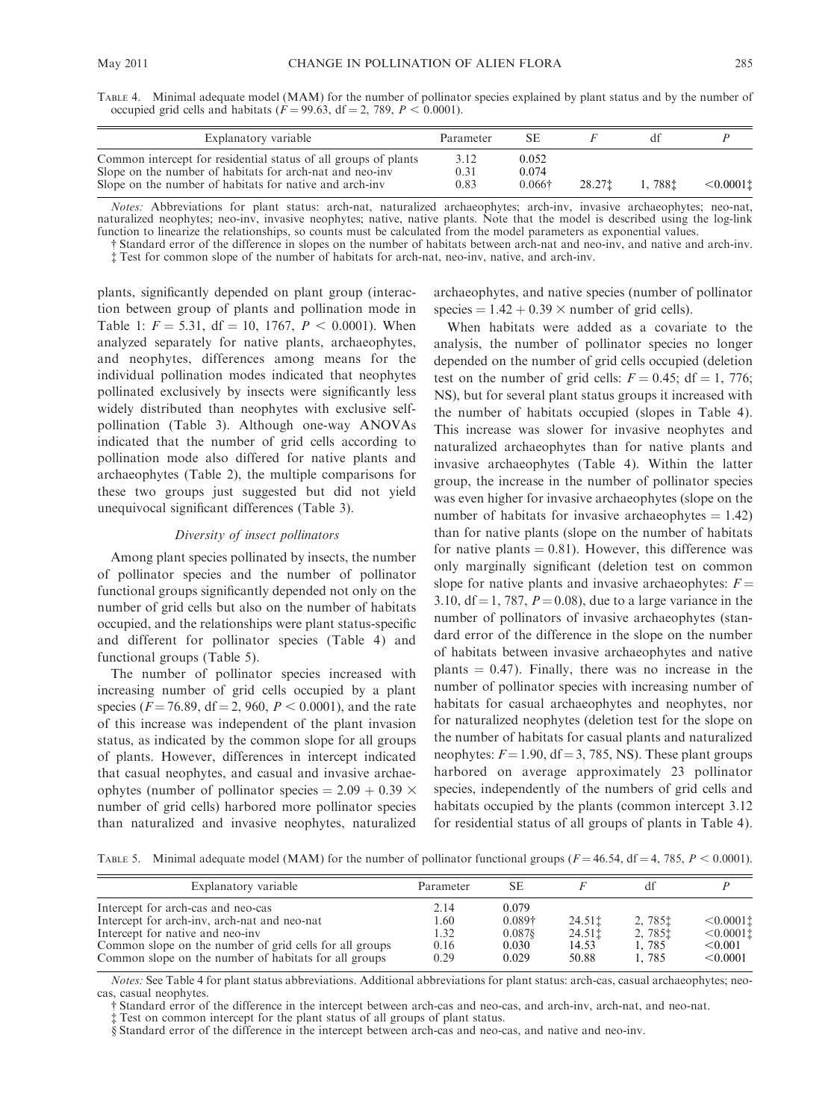TABLE 4. Minimal adequate model (MAM) for the number of pollinator species explained by plant status and by the number of occupied grid cells and habitats ( $F = 99.63$ , df = 2, 789,  $P < 0.0001$ ).

| Explanatory variable                                                                                                        | Parameter    | SE.                |        |        |                |
|-----------------------------------------------------------------------------------------------------------------------------|--------------|--------------------|--------|--------|----------------|
| Common intercept for residential status of all groups of plants<br>Slope on the number of habitats for arch-nat and neo-inv | 3.12<br>0.31 | 0.052<br>0.074     |        |        |                |
| Slope on the number of habitats for native and arch-inv                                                                     | 0.83         | 0.066 <sup>†</sup> | 28.271 | 1.7881 | $< 0.0001$ $1$ |

Notes: Abbreviations for plant status: arch-nat, naturalized archaeophytes; arch-inv, invasive archaeophytes; neo-nat, naturalized neophytes; neo-inv, invasive neophytes; native, native plants. Note that the model is described using the log-link function to linearize the relationships, so counts must be calculated from the model parameters as exponential values.

- Standard error of the difference in slopes on the number of habitats between arch-nat and neo-inv, and native and arch-inv. Test for common slope of the number of habitats for arch-nat, neo-inv, native, and arch-inv.

plants, significantly depended on plant group (interaction between group of plants and pollination mode in Table 1:  $F = 5.31$ , df = 10, 1767,  $P < 0.0001$ ). When analyzed separately for native plants, archaeophytes, and neophytes, differences among means for the individual pollination modes indicated that neophytes pollinated exclusively by insects were significantly less widely distributed than neophytes with exclusive selfpollination (Table 3). Although one-way ANOVAs indicated that the number of grid cells according to pollination mode also differed for native plants and archaeophytes (Table 2), the multiple comparisons for these two groups just suggested but did not yield unequivocal significant differences (Table 3).

#### Diversity of insect pollinators

Among plant species pollinated by insects, the number of pollinator species and the number of pollinator functional groups significantly depended not only on the number of grid cells but also on the number of habitats occupied, and the relationships were plant status-specific and different for pollinator species (Table 4) and functional groups (Table 5).

The number of pollinator species increased with increasing number of grid cells occupied by a plant species ( $F = 76.89$ , df = 2, 960,  $P < 0.0001$ ), and the rate of this increase was independent of the plant invasion status, as indicated by the common slope for all groups of plants. However, differences in intercept indicated that casual neophytes, and casual and invasive archaeophytes (number of pollinator species  $= 2.09 + 0.39 \times$ number of grid cells) harbored more pollinator species than naturalized and invasive neophytes, naturalized

archaeophytes, and native species (number of pollinator species  $= 1.42 + 0.39 \times$  number of grid cells).

When habitats were added as a covariate to the analysis, the number of pollinator species no longer depended on the number of grid cells occupied (deletion test on the number of grid cells:  $F = 0.45$ ; df = 1, 776; NS), but for several plant status groups it increased with the number of habitats occupied (slopes in Table 4). This increase was slower for invasive neophytes and naturalized archaeophytes than for native plants and invasive archaeophytes (Table 4). Within the latter group, the increase in the number of pollinator species was even higher for invasive archaeophytes (slope on the number of habitats for invasive archaeophytes  $= 1.42$ ) than for native plants (slope on the number of habitats for native plants  $= 0.81$ ). However, this difference was only marginally significant (deletion test on common slope for native plants and invasive archaeophytes:  $F =$ 3.10, df = 1, 787,  $P = 0.08$ ), due to a large variance in the number of pollinators of invasive archaeophytes (standard error of the difference in the slope on the number of habitats between invasive archaeophytes and native plants  $= 0.47$ ). Finally, there was no increase in the number of pollinator species with increasing number of habitats for casual archaeophytes and neophytes, nor for naturalized neophytes (deletion test for the slope on the number of habitats for casual plants and naturalized neophytes:  $F = 1.90$ , df = 3, 785, NS). These plant groups harbored on average approximately 23 pollinator species, independently of the numbers of grid cells and habitats occupied by the plants (common intercept 3.12 for residential status of all groups of plants in Table 4).

TABLE 5. Minimal adequate model (MAM) for the number of pollinator functional groups ( $F = 46.54$ , df = 4, 785,  $P < 0.0001$ ).

| Explanatory variable                                    | Parameter | <b>SE</b>      |        |        |          |
|---------------------------------------------------------|-----------|----------------|--------|--------|----------|
| Intercept for arch-cas and neo-cas                      | 2.14      | 0.079          |        |        |          |
| Intercept for arch-inv, arch-nat and neo-nat            | 1.60      | $0.089\dagger$ | 24.511 | 2,7851 | < 0.0001 |
| Intercept for native and neo-inv                        | 1.32      | $0.087$ §      | 24.511 | 2.7851 | < 0.0001 |
| Common slope on the number of grid cells for all groups | 0.16      | 0.030          | 14.53  | 1.785  | < 0.001  |
| Common slope on the number of habitats for all groups   | 0.29      | 0.029          | 50.88  | 1,785  | < 0.0001 |

Notes: See Table 4 for plant status abbreviations. Additional abbreviations for plant status: arch-cas, casual archaeophytes; neocas, casual neophytes.

- Standard error of the difference in the intercept between arch-cas and neo-cas, and arch-inv, arch-nat, and neo-nat.

Test on common intercept for the plant status of all groups of plant status.

§ Standard error of the difference in the intercept between arch-cas and neo-cas, and native and neo-inv.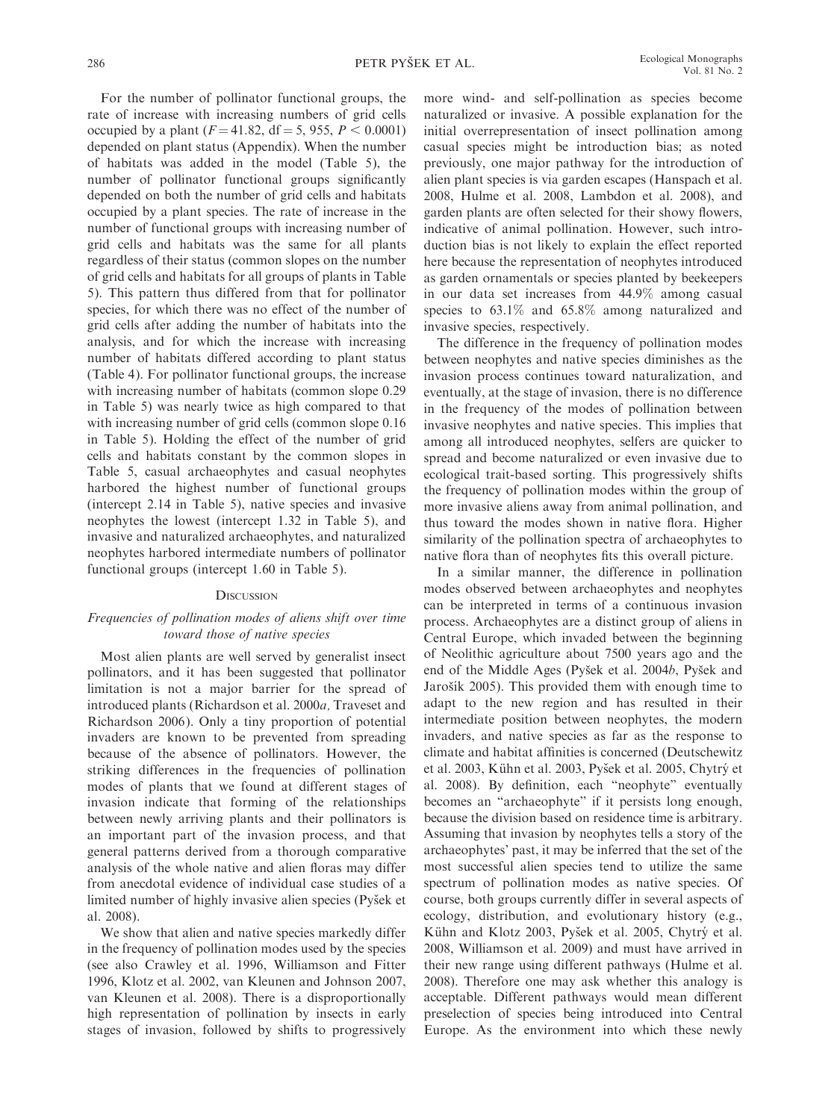For the number of pollinator functional groups, the rate of increase with increasing numbers of grid cells occupied by a plant ( $F = 41.82$ , df = 5, 955,  $P < 0.0001$ ) depended on plant status (Appendix). When the number of habitats was added in the model (Table 5), the number of pollinator functional groups significantly depended on both the number of grid cells and habitats occupied by a plant species. The rate of increase in the number of functional groups with increasing number of grid cells and habitats was the same for all plants regardless of their status (common slopes on the number of grid cells and habitats for all groups of plants in Table 5). This pattern thus differed from that for pollinator species, for which there was no effect of the number of grid cells after adding the number of habitats into the analysis, and for which the increase with increasing number of habitats differed according to plant status (Table 4). For pollinator functional groups, the increase with increasing number of habitats (common slope 0.29 in Table 5) was nearly twice as high compared to that with increasing number of grid cells (common slope 0.16 in Table 5). Holding the effect of the number of grid cells and habitats constant by the common slopes in Table 5, casual archaeophytes and casual neophytes harbored the highest number of functional groups (intercept 2.14 in Table 5), native species and invasive neophytes the lowest (intercept 1.32 in Table 5), and invasive and naturalized archaeophytes, and naturalized neophytes harbored intermediate numbers of pollinator functional groups (intercept 1.60 in Table 5).

### **DISCUSSION**

## Frequencies of pollination modes of aliens shift over time toward those of native species

Most alien plants are well served by generalist insect pollinators, and it has been suggested that pollinator limitation is not a major barrier for the spread of introduced plants (Richardson et al. 2000a, Traveset and Richardson 2006). Only a tiny proportion of potential invaders are known to be prevented from spreading because of the absence of pollinators. However, the striking differences in the frequencies of pollination modes of plants that we found at different stages of invasion indicate that forming of the relationships between newly arriving plants and their pollinators is an important part of the invasion process, and that general patterns derived from a thorough comparative analysis of the whole native and alien floras may differ from anecdotal evidence of individual case studies of a limited number of highly invasive alien species (Pyšek et al. 2008).

We show that alien and native species markedly differ in the frequency of pollination modes used by the species (see also Crawley et al. 1996, Williamson and Fitter 1996, Klotz et al. 2002, van Kleunen and Johnson 2007, van Kleunen et al. 2008). There is a disproportionally high representation of pollination by insects in early stages of invasion, followed by shifts to progressively

more wind- and self-pollination as species become naturalized or invasive. A possible explanation for the initial overrepresentation of insect pollination among casual species might be introduction bias; as noted previously, one major pathway for the introduction of alien plant species is via garden escapes (Hanspach et al. 2008, Hulme et al. 2008, Lambdon et al. 2008), and garden plants are often selected for their showy flowers, indicative of animal pollination. However, such introduction bias is not likely to explain the effect reported here because the representation of neophytes introduced as garden ornamentals or species planted by beekeepers in our data set increases from 44.9% among casual species to 63.1% and 65.8% among naturalized and invasive species, respectively.

The difference in the frequency of pollination modes between neophytes and native species diminishes as the invasion process continues toward naturalization, and eventually, at the stage of invasion, there is no difference in the frequency of the modes of pollination between invasive neophytes and native species. This implies that among all introduced neophytes, selfers are quicker to spread and become naturalized or even invasive due to ecological trait-based sorting. This progressively shifts the frequency of pollination modes within the group of more invasive aliens away from animal pollination, and thus toward the modes shown in native flora. Higher similarity of the pollination spectra of archaeophytes to native flora than of neophytes fits this overall picture.

In a similar manner, the difference in pollination modes observed between archaeophytes and neophytes can be interpreted in terms of a continuous invasion process. Archaeophytes are a distinct group of aliens in Central Europe, which invaded between the beginning of Neolithic agriculture about 7500 years ago and the end of the Middle Ages (Pyšek et al. 2004b, Pyšek and Jarošík 2005). This provided them with enough time to adapt to the new region and has resulted in their intermediate position between neophytes, the modern invaders, and native species as far as the response to climate and habitat affinities is concerned (Deutschewitz et al. 2003, Kühn et al. 2003, Pyšek et al. 2005, Chytrý et al. 2008). By definition, each ''neophyte'' eventually becomes an ''archaeophyte'' if it persists long enough, because the division based on residence time is arbitrary. Assuming that invasion by neophytes tells a story of the archaeophytes' past, it may be inferred that the set of the most successful alien species tend to utilize the same spectrum of pollination modes as native species. Of course, both groups currently differ in several aspects of ecology, distribution, and evolutionary history (e.g., Kühn and Klotz 2003, Pyšek et al. 2005, Chytrý et al. 2008, Williamson et al. 2009) and must have arrived in their new range using different pathways (Hulme et al. 2008). Therefore one may ask whether this analogy is acceptable. Different pathways would mean different preselection of species being introduced into Central Europe. As the environment into which these newly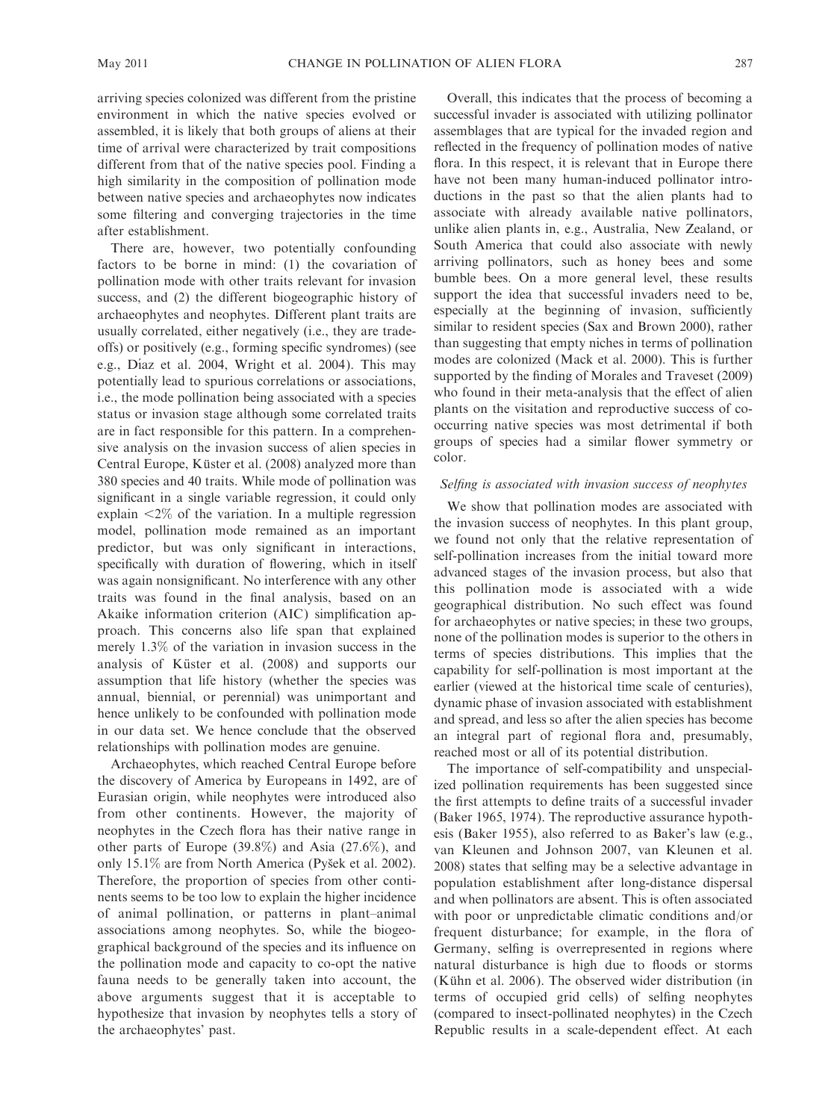arriving species colonized was different from the pristine environment in which the native species evolved or assembled, it is likely that both groups of aliens at their time of arrival were characterized by trait compositions different from that of the native species pool. Finding a high similarity in the composition of pollination mode between native species and archaeophytes now indicates some filtering and converging trajectories in the time after establishment.

There are, however, two potentially confounding factors to be borne in mind: (1) the covariation of pollination mode with other traits relevant for invasion success, and (2) the different biogeographic history of archaeophytes and neophytes. Different plant traits are usually correlated, either negatively (i.e., they are tradeoffs) or positively (e.g., forming specific syndromes) (see e.g., Díaz et al. 2004, Wright et al. 2004). This may potentially lead to spurious correlations or associations, i.e., the mode pollination being associated with a species status or invasion stage although some correlated traits are in fact responsible for this pattern. In a comprehensive analysis on the invasion success of alien species in Central Europe, Küster et al. (2008) analyzed more than 380 species and 40 traits. While mode of pollination was significant in a single variable regression, it could only explain  $\langle 2\%$  of the variation. In a multiple regression model, pollination mode remained as an important predictor, but was only significant in interactions, specifically with duration of flowering, which in itself was again nonsignificant. No interference with any other traits was found in the final analysis, based on an Akaike information criterion (AIC) simplification approach. This concerns also life span that explained merely 1.3% of the variation in invasion success in the analysis of Küster et al. (2008) and supports our assumption that life history (whether the species was annual, biennial, or perennial) was unimportant and hence unlikely to be confounded with pollination mode in our data set. We hence conclude that the observed relationships with pollination modes are genuine.

Archaeophytes, which reached Central Europe before the discovery of America by Europeans in 1492, are of Eurasian origin, while neophytes were introduced also from other continents. However, the majority of neophytes in the Czech flora has their native range in other parts of Europe (39.8%) and Asia (27.6%), and only 15.1% are from North America (Pyšek et al. 2002). Therefore, the proportion of species from other continents seems to be too low to explain the higher incidence of animal pollination, or patterns in plant–animal associations among neophytes. So, while the biogeographical background of the species and its influence on the pollination mode and capacity to co-opt the native fauna needs to be generally taken into account, the above arguments suggest that it is acceptable to hypothesize that invasion by neophytes tells a story of the archaeophytes' past.

Overall, this indicates that the process of becoming a successful invader is associated with utilizing pollinator assemblages that are typical for the invaded region and reflected in the frequency of pollination modes of native flora. In this respect, it is relevant that in Europe there have not been many human-induced pollinator introductions in the past so that the alien plants had to associate with already available native pollinators, unlike alien plants in, e.g., Australia, New Zealand, or South America that could also associate with newly arriving pollinators, such as honey bees and some bumble bees. On a more general level, these results support the idea that successful invaders need to be, especially at the beginning of invasion, sufficiently similar to resident species (Sax and Brown 2000), rather than suggesting that empty niches in terms of pollination modes are colonized (Mack et al. 2000). This is further supported by the finding of Morales and Traveset (2009) who found in their meta-analysis that the effect of alien plants on the visitation and reproductive success of cooccurring native species was most detrimental if both groups of species had a similar flower symmetry or color.

#### Selfing is associated with invasion success of neophytes

We show that pollination modes are associated with the invasion success of neophytes. In this plant group, we found not only that the relative representation of self-pollination increases from the initial toward more advanced stages of the invasion process, but also that this pollination mode is associated with a wide geographical distribution. No such effect was found for archaeophytes or native species; in these two groups, none of the pollination modes is superior to the others in terms of species distributions. This implies that the capability for self-pollination is most important at the earlier (viewed at the historical time scale of centuries), dynamic phase of invasion associated with establishment and spread, and less so after the alien species has become an integral part of regional flora and, presumably, reached most or all of its potential distribution.

The importance of self-compatibility and unspecialized pollination requirements has been suggested since the first attempts to define traits of a successful invader (Baker 1965, 1974). The reproductive assurance hypothesis (Baker 1955), also referred to as Baker's law (e.g., van Kleunen and Johnson 2007, van Kleunen et al. 2008) states that selfing may be a selective advantage in population establishment after long-distance dispersal and when pollinators are absent. This is often associated with poor or unpredictable climatic conditions and/or frequent disturbance; for example, in the flora of Germany, selfing is overrepresented in regions where natural disturbance is high due to floods or storms (Kühn et al. 2006). The observed wider distribution (in terms of occupied grid cells) of selfing neophytes (compared to insect-pollinated neophytes) in the Czech Republic results in a scale-dependent effect. At each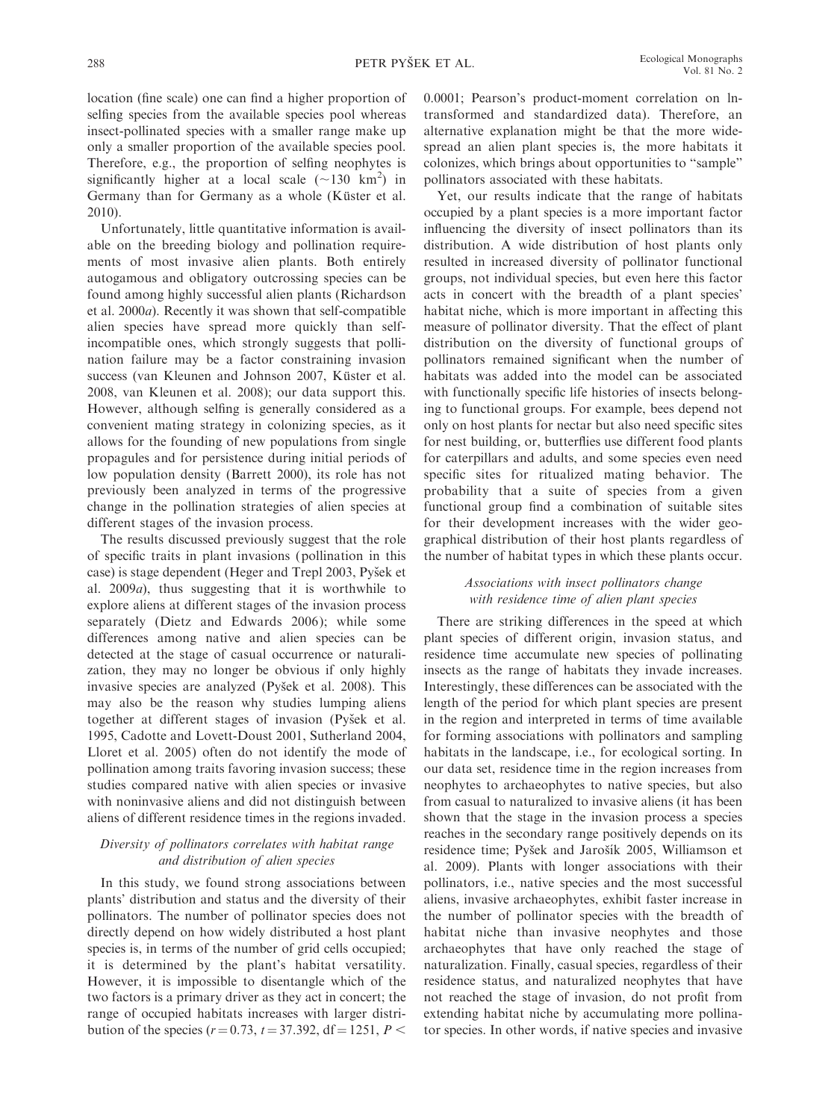location (fine scale) one can find a higher proportion of selfing species from the available species pool whereas insect-pollinated species with a smaller range make up only a smaller proportion of the available species pool. Therefore, e.g., the proportion of selfing neophytes is significantly higher at a local scale  $({\sim}130 \text{ km}^2)$  in Germany than for Germany as a whole (Küster et al. 2010).

Unfortunately, little quantitative information is available on the breeding biology and pollination requirements of most invasive alien plants. Both entirely autogamous and obligatory outcrossing species can be found among highly successful alien plants (Richardson et al. 2000a). Recently it was shown that self-compatible alien species have spread more quickly than selfincompatible ones, which strongly suggests that pollination failure may be a factor constraining invasion success (van Kleunen and Johnson 2007, Küster et al. 2008, van Kleunen et al. 2008); our data support this. However, although selfing is generally considered as a convenient mating strategy in colonizing species, as it allows for the founding of new populations from single propagules and for persistence during initial periods of low population density (Barrett 2000), its role has not previously been analyzed in terms of the progressive change in the pollination strategies of alien species at different stages of the invasion process.

The results discussed previously suggest that the role of specific traits in plant invasions (pollination in this case) is stage dependent (Heger and Trepl 2003, Pyšek et al. 2009a), thus suggesting that it is worthwhile to explore aliens at different stages of the invasion process separately (Dietz and Edwards 2006); while some differences among native and alien species can be detected at the stage of casual occurrence or naturalization, they may no longer be obvious if only highly invasive species are analyzed (Pyšek et al. 2008). This may also be the reason why studies lumping aliens together at different stages of invasion (Pyšek et al. 1995, Cadotte and Lovett-Doust 2001, Sutherland 2004, Lloret et al. 2005) often do not identify the mode of pollination among traits favoring invasion success; these studies compared native with alien species or invasive with noninvasive aliens and did not distinguish between aliens of different residence times in the regions invaded.

## Diversity of pollinators correlates with habitat range and distribution of alien species

In this study, we found strong associations between plants' distribution and status and the diversity of their pollinators. The number of pollinator species does not directly depend on how widely distributed a host plant species is, in terms of the number of grid cells occupied; it is determined by the plant's habitat versatility. However, it is impossible to disentangle which of the two factors is a primary driver as they act in concert; the range of occupied habitats increases with larger distribution of the species ( $r = 0.73$ ,  $t = 37.392$ , df = 1251, P <

0.0001; Pearson's product-moment correlation on lntransformed and standardized data). Therefore, an alternative explanation might be that the more widespread an alien plant species is, the more habitats it colonizes, which brings about opportunities to ''sample'' pollinators associated with these habitats.

Yet, our results indicate that the range of habitats occupied by a plant species is a more important factor influencing the diversity of insect pollinators than its distribution. A wide distribution of host plants only resulted in increased diversity of pollinator functional groups, not individual species, but even here this factor acts in concert with the breadth of a plant species' habitat niche, which is more important in affecting this measure of pollinator diversity. That the effect of plant distribution on the diversity of functional groups of pollinators remained significant when the number of habitats was added into the model can be associated with functionally specific life histories of insects belonging to functional groups. For example, bees depend not only on host plants for nectar but also need specific sites for nest building, or, butterflies use different food plants for caterpillars and adults, and some species even need specific sites for ritualized mating behavior. The probability that a suite of species from a given functional group find a combination of suitable sites for their development increases with the wider geographical distribution of their host plants regardless of the number of habitat types in which these plants occur.

## Associations with insect pollinators change with residence time of alien plant species

There are striking differences in the speed at which plant species of different origin, invasion status, and residence time accumulate new species of pollinating insects as the range of habitats they invade increases. Interestingly, these differences can be associated with the length of the period for which plant species are present in the region and interpreted in terms of time available for forming associations with pollinators and sampling habitats in the landscape, i.e., for ecological sorting. In our data set, residence time in the region increases from neophytes to archaeophytes to native species, but also from casual to naturalized to invasive aliens (it has been shown that the stage in the invasion process a species reaches in the secondary range positively depends on its residence time; Pyšek and Jarošík 2005, Williamson et al. 2009). Plants with longer associations with their pollinators, i.e., native species and the most successful aliens, invasive archaeophytes, exhibit faster increase in the number of pollinator species with the breadth of habitat niche than invasive neophytes and those archaeophytes that have only reached the stage of naturalization. Finally, casual species, regardless of their residence status, and naturalized neophytes that have not reached the stage of invasion, do not profit from extending habitat niche by accumulating more pollinator species. In other words, if native species and invasive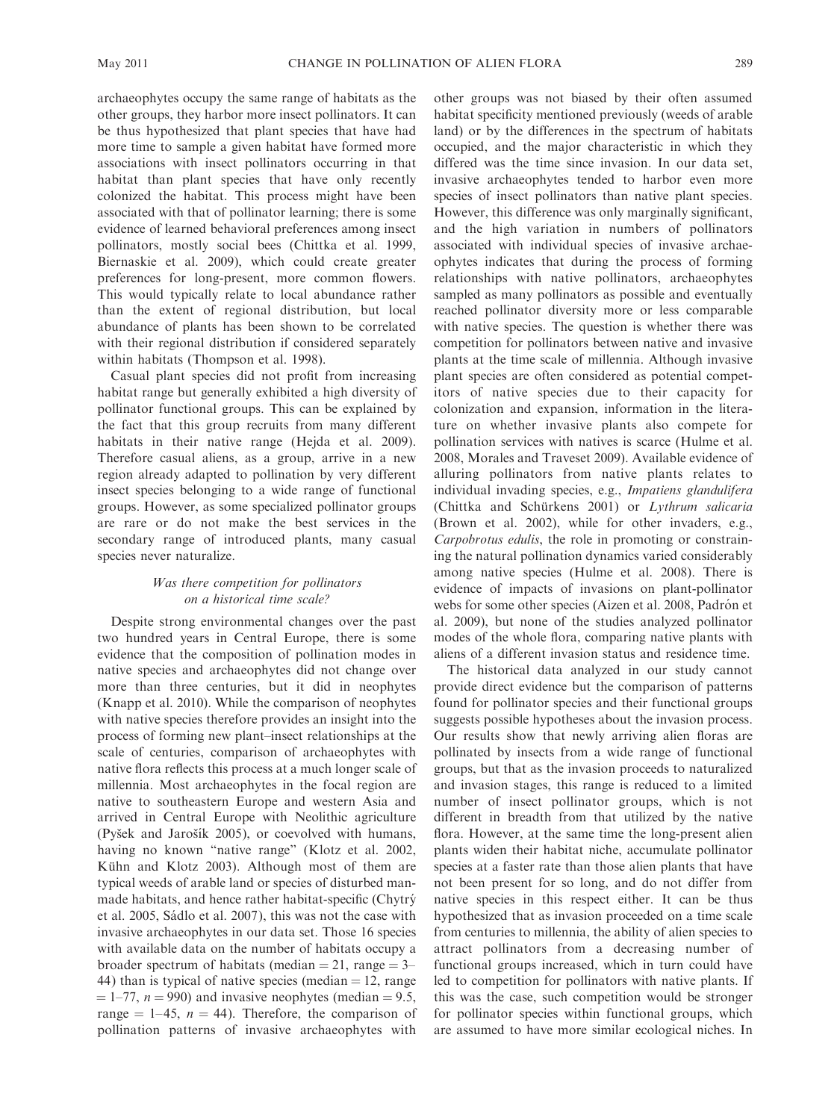archaeophytes occupy the same range of habitats as the other groups, they harbor more insect pollinators. It can be thus hypothesized that plant species that have had more time to sample a given habitat have formed more associations with insect pollinators occurring in that habitat than plant species that have only recently colonized the habitat. This process might have been associated with that of pollinator learning; there is some evidence of learned behavioral preferences among insect pollinators, mostly social bees (Chittka et al. 1999, Biernaskie et al. 2009), which could create greater preferences for long-present, more common flowers. This would typically relate to local abundance rather than the extent of regional distribution, but local abundance of plants has been shown to be correlated with their regional distribution if considered separately within habitats (Thompson et al. 1998).

Casual plant species did not profit from increasing habitat range but generally exhibited a high diversity of pollinator functional groups. This can be explained by the fact that this group recruits from many different habitats in their native range (Hejda et al. 2009). Therefore casual aliens, as a group, arrive in a new region already adapted to pollination by very different insect species belonging to a wide range of functional groups. However, as some specialized pollinator groups are rare or do not make the best services in the secondary range of introduced plants, many casual species never naturalize.

## Was there competition for pollinators on a historical time scale?

Despite strong environmental changes over the past two hundred years in Central Europe, there is some evidence that the composition of pollination modes in native species and archaeophytes did not change over more than three centuries, but it did in neophytes (Knapp et al. 2010). While the comparison of neophytes with native species therefore provides an insight into the process of forming new plant–insect relationships at the scale of centuries, comparison of archaeophytes with native flora reflects this process at a much longer scale of millennia. Most archaeophytes in the focal region are native to southeastern Europe and western Asia and arrived in Central Europe with Neolithic agriculture (Pyšek and Jarošík 2005), or coevolved with humans, having no known ''native range'' (Klotz et al. 2002, Kühn and Klotz 2003). Although most of them are typical weeds of arable land or species of disturbed manmade habitats, and hence rather habitat-specific (Chytrý et al. 2005, Sádlo et al. 2007), this was not the case with invasive archaeophytes in our data set. Those 16 species with available data on the number of habitats occupy a broader spectrum of habitats (median  $= 21$ , range  $= 3-$ 44) than is typical of native species (median  $= 12$ , range  $= 1-77$ ,  $n = 990$ ) and invasive neophytes (median  $= 9.5$ , range  $= 1-45$ ,  $n = 44$ ). Therefore, the comparison of pollination patterns of invasive archaeophytes with other groups was not biased by their often assumed habitat specificity mentioned previously (weeds of arable land) or by the differences in the spectrum of habitats occupied, and the major characteristic in which they differed was the time since invasion. In our data set, invasive archaeophytes tended to harbor even more species of insect pollinators than native plant species. However, this difference was only marginally significant, and the high variation in numbers of pollinators associated with individual species of invasive archaeophytes indicates that during the process of forming relationships with native pollinators, archaeophytes sampled as many pollinators as possible and eventually reached pollinator diversity more or less comparable with native species. The question is whether there was competition for pollinators between native and invasive plants at the time scale of millennia. Although invasive plant species are often considered as potential competitors of native species due to their capacity for colonization and expansion, information in the literature on whether invasive plants also compete for pollination services with natives is scarce (Hulme et al. 2008, Morales and Traveset 2009). Available evidence of alluring pollinators from native plants relates to individual invading species, e.g., Impatiens glandulifera (Chittka and Schürkens 2001) or Lythrum salicaria (Brown et al. 2002), while for other invaders, e.g., Carpobrotus edulis, the role in promoting or constraining the natural pollination dynamics varied considerably among native species (Hulme et al. 2008). There is evidence of impacts of invasions on plant-pollinator webs for some other species (Aizen et al. 2008, Padrón et al. 2009), but none of the studies analyzed pollinator modes of the whole flora, comparing native plants with aliens of a different invasion status and residence time.

The historical data analyzed in our study cannot provide direct evidence but the comparison of patterns found for pollinator species and their functional groups suggests possible hypotheses about the invasion process. Our results show that newly arriving alien floras are pollinated by insects from a wide range of functional groups, but that as the invasion proceeds to naturalized and invasion stages, this range is reduced to a limited number of insect pollinator groups, which is not different in breadth from that utilized by the native flora. However, at the same time the long-present alien plants widen their habitat niche, accumulate pollinator species at a faster rate than those alien plants that have not been present for so long, and do not differ from native species in this respect either. It can be thus hypothesized that as invasion proceeded on a time scale from centuries to millennia, the ability of alien species to attract pollinators from a decreasing number of functional groups increased, which in turn could have led to competition for pollinators with native plants. If this was the case, such competition would be stronger for pollinator species within functional groups, which are assumed to have more similar ecological niches. In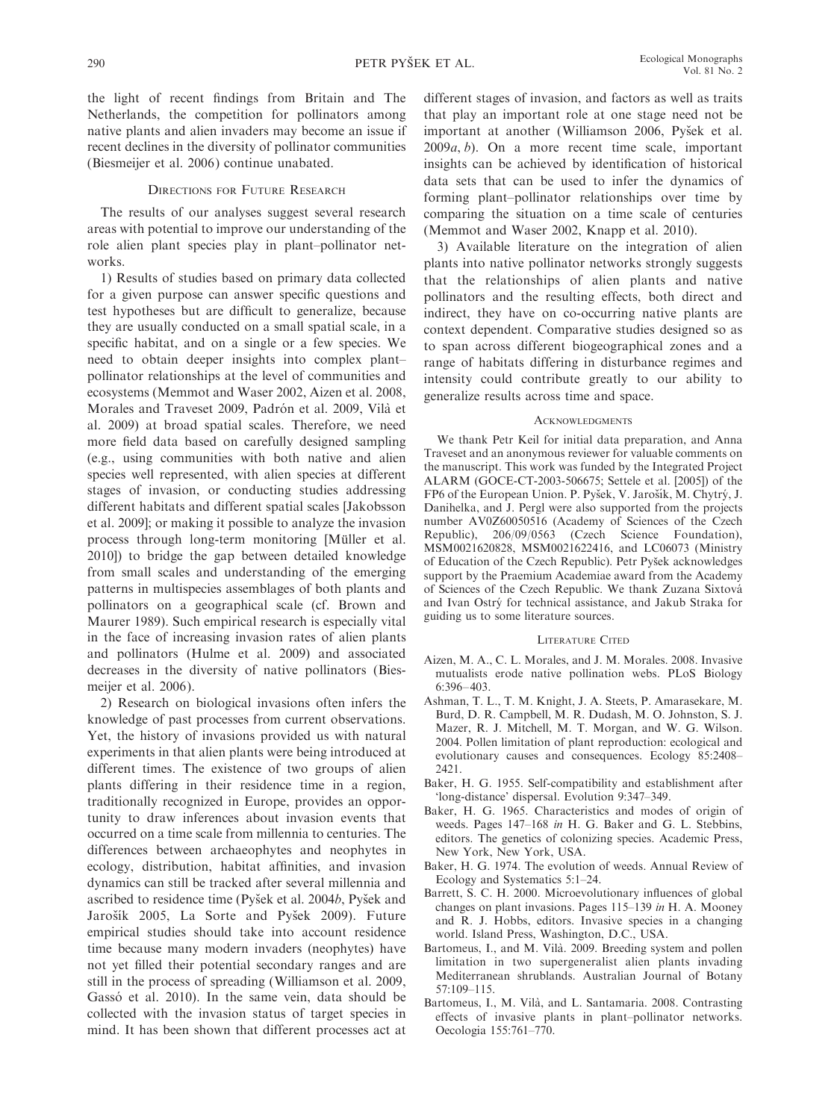the light of recent findings from Britain and The Netherlands, the competition for pollinators among native plants and alien invaders may become an issue if recent declines in the diversity of pollinator communities (Biesmeijer et al. 2006) continue unabated.

### DIRECTIONS FOR FUTURE RESEARCH

The results of our analyses suggest several research areas with potential to improve our understanding of the role alien plant species play in plant–pollinator networks.

1) Results of studies based on primary data collected for a given purpose can answer specific questions and test hypotheses but are difficult to generalize, because they are usually conducted on a small spatial scale, in a specific habitat, and on a single or a few species. We need to obtain deeper insights into complex plant– pollinator relationships at the level of communities and ecosystems (Memmot and Waser 2002, Aizen et al. 2008, Morales and Traveset 2009, Padrón et al. 2009, Vilà et al. 2009) at broad spatial scales. Therefore, we need more field data based on carefully designed sampling (e.g., using communities with both native and alien species well represented, with alien species at different stages of invasion, or conducting studies addressing different habitats and different spatial scales [Jakobsson et al. 2009]; or making it possible to analyze the invasion process through long-term monitoring [Müller et al. 2010]) to bridge the gap between detailed knowledge from small scales and understanding of the emerging patterns in multispecies assemblages of both plants and pollinators on a geographical scale (cf. Brown and Maurer 1989). Such empirical research is especially vital in the face of increasing invasion rates of alien plants and pollinators (Hulme et al. 2009) and associated decreases in the diversity of native pollinators (Biesmeijer et al. 2006).

2) Research on biological invasions often infers the knowledge of past processes from current observations. Yet, the history of invasions provided us with natural experiments in that alien plants were being introduced at different times. The existence of two groups of alien plants differing in their residence time in a region, traditionally recognized in Europe, provides an opportunity to draw inferences about invasion events that occurred on a time scale from millennia to centuries. The differences between archaeophytes and neophytes in ecology, distribution, habitat affinities, and invasion dynamics can still be tracked after several millennia and ascribed to residence time (Pyšek et al. 2004b, Pyšek and Jarošík 2005, La Sorte and Pyšek 2009). Future empirical studies should take into account residence time because many modern invaders (neophytes) have not yet filled their potential secondary ranges and are still in the process of spreading (Williamson et al. 2009, Gassó et al. 2010). In the same vein, data should be collected with the invasion status of target species in mind. It has been shown that different processes act at different stages of invasion, and factors as well as traits that play an important role at one stage need not be important at another (Williamson 2006, Pyšek et al.  $2009a, b$ . On a more recent time scale, important insights can be achieved by identification of historical data sets that can be used to infer the dynamics of forming plant–pollinator relationships over time by comparing the situation on a time scale of centuries (Memmot and Waser 2002, Knapp et al. 2010).

3) Available literature on the integration of alien plants into native pollinator networks strongly suggests that the relationships of alien plants and native pollinators and the resulting effects, both direct and indirect, they have on co-occurring native plants are context dependent. Comparative studies designed so as to span across different biogeographical zones and a range of habitats differing in disturbance regimes and intensity could contribute greatly to our ability to generalize results across time and space.

#### **ACKNOWLEDGMENTS**

We thank Petr Keil for initial data preparation, and Anna Traveset and an anonymous reviewer for valuable comments on the manuscript. This work was funded by the Integrated Project ALARM (GOCE-CT-2003-506675; Settele et al. [2005]) of the FP6 of the European Union. P. Pyšek, V. Jarošík, M. Chytrý, J. Danihelka, and J. Pergl were also supported from the projects number AV0Z60050516 (Academy of Sciences of the Czech Republic), 206/09/0563 (Czech Science Foundation), MSM0021620828, MSM0021622416, and LC06073 (Ministry of Education of the Czech Republic). Petr Pyšek acknowledges support by the Praemium Academiae award from the Academy of Sciences of the Czech Republic. We thank Zuzana Sixtova´ and Ivan Ostry´ for technical assistance, and Jakub Straka for guiding us to some literature sources.

#### LITERATURE CITED

- Aizen, M. A., C. L. Morales, and J. M. Morales. 2008. Invasive mutualists erode native pollination webs. PLoS Biology  $6.396 - 403$
- Ashman, T. L., T. M. Knight, J. A. Steets, P. Amarasekare, M. Burd, D. R. Campbell, M. R. Dudash, M. O. Johnston, S. J. Mazer, R. J. Mitchell, M. T. Morgan, and W. G. Wilson. 2004. Pollen limitation of plant reproduction: ecological and evolutionary causes and consequences. Ecology 85:2408– 2421.
- Baker, H. G. 1955. Self-compatibility and establishment after 'long-distance' dispersal. Evolution 9:347–349.
- Baker, H. G. 1965. Characteristics and modes of origin of weeds. Pages 147–168 in H. G. Baker and G. L. Stebbins, editors. The genetics of colonizing species. Academic Press, New York, New York, USA.
- Baker, H. G. 1974. The evolution of weeds. Annual Review of Ecology and Systematics 5:1–24.
- Barrett, S. C. H. 2000. Microevolutionary influences of global changes on plant invasions. Pages 115–139 in H. A. Mooney and R. J. Hobbs, editors. Invasive species in a changing world. Island Press, Washington, D.C., USA.
- Bartomeus, I., and M. Vilà. 2009. Breeding system and pollen limitation in two supergeneralist alien plants invading Mediterranean shrublands. Australian Journal of Botany 57:109–115.
- Bartomeus, I., M. Vilà, and L. Santamaria. 2008. Contrasting effects of invasive plants in plant–pollinator networks. Oecologia 155:761–770.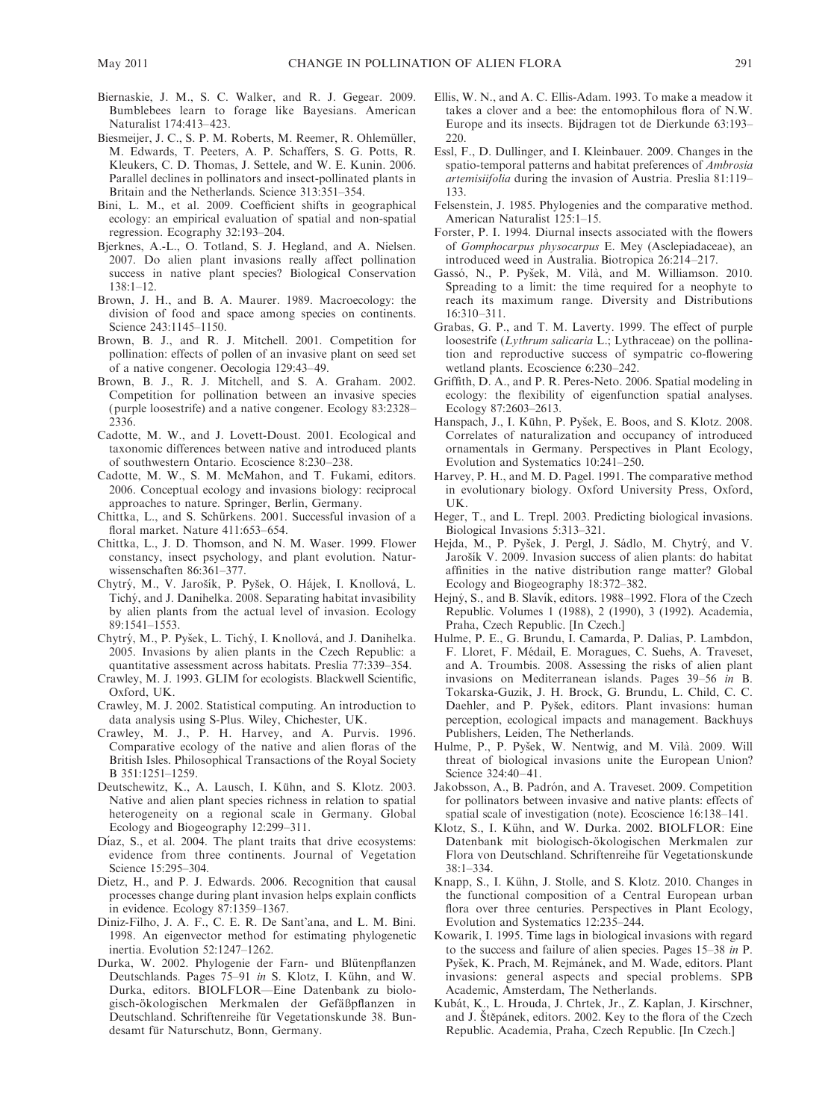- Biernaskie, J. M., S. C. Walker, and R. J. Gegear. 2009. Bumblebees learn to forage like Bayesians. American Naturalist 174:413–423.
- Biesmeijer, J. C., S. P. M. Roberts, M. Reemer, R. Ohlemüller, M. Edwards, T. Peeters, A. P. Schaffers, S. G. Potts, R. Kleukers, C. D. Thomas, J. Settele, and W. E. Kunin. 2006. Parallel declines in pollinators and insect-pollinated plants in Britain and the Netherlands. Science 313:351–354.
- Bini, L. M., et al. 2009. Coefficient shifts in geographical ecology: an empirical evaluation of spatial and non-spatial regression. Ecography 32:193–204.
- Bjerknes, A.-L., O. Totland, S. J. Hegland, and A. Nielsen. 2007. Do alien plant invasions really affect pollination success in native plant species? Biological Conservation 138:1–12.
- Brown, J. H., and B. A. Maurer. 1989. Macroecology: the division of food and space among species on continents. Science 243:1145–1150.
- Brown, B. J., and R. J. Mitchell. 2001. Competition for pollination: effects of pollen of an invasive plant on seed set of a native congener. Oecologia 129:43–49.
- Brown, B. J., R. J. Mitchell, and S. A. Graham. 2002. Competition for pollination between an invasive species (purple loosestrife) and a native congener. Ecology 83:2328– 2336.
- Cadotte, M. W., and J. Lovett-Doust. 2001. Ecological and taxonomic differences between native and introduced plants of southwestern Ontario. Ecoscience 8:230–238.
- Cadotte, M. W., S. M. McMahon, and T. Fukami, editors. 2006. Conceptual ecology and invasions biology: reciprocal approaches to nature. Springer, Berlin, Germany.
- Chittka, L., and S. Schürkens. 2001. Successful invasion of a floral market. Nature 411:653–654.
- Chittka, L., J. D. Thomson, and N. M. Waser. 1999. Flower constancy, insect psychology, and plant evolution. Naturwissenschaften 86:361–377.
- Chytrý, M., V. Jarošík, P. Pyšek, O. Hájek, I. Knollová, L. Tichy´, and J. Danihelka. 2008. Separating habitat invasibility by alien plants from the actual level of invasion. Ecology 89:1541–1553.
- Chytrý, M., P. Pyšek, L. Tichý, I. Knollová, and J. Danihelka. 2005. Invasions by alien plants in the Czech Republic: a quantitative assessment across habitats. Preslia 77:339–354.
- Crawley, M. J. 1993. GLIM for ecologists. Blackwell Scientific, Oxford, UK.
- Crawley, M. J. 2002. Statistical computing. An introduction to data analysis using S-Plus. Wiley, Chichester, UK.
- Crawley, M. J., P. H. Harvey, and A. Purvis. 1996. Comparative ecology of the native and alien floras of the British Isles. Philosophical Transactions of the Royal Society B 351:1251–1259.
- Deutschewitz, K., A. Lausch, I. Kühn, and S. Klotz. 2003. Native and alien plant species richness in relation to spatial heterogeneity on a regional scale in Germany. Global Ecology and Biogeography 12:299–311.
- Díaz, S., et al. 2004. The plant traits that drive ecosystems: evidence from three continents. Journal of Vegetation Science 15:295–304.
- Dietz, H., and P. J. Edwards. 2006. Recognition that causal processes change during plant invasion helps explain conflicts in evidence. Ecology 87:1359–1367.
- Diniz-Filho, J. A. F., C. E. R. De Sant'ana, and L. M. Bini. 1998. An eigenvector method for estimating phylogenetic inertia. Evolution 52:1247–1262.
- Durka, W. 2002. Phylogenie der Farn- und Blütenpflanzen Deutschlands. Pages 75–91 in S. Klotz, I. Kühn, and W. Durka, editors. BIOLFLOR—Eine Datenbank zu biologisch-ökologischen Merkmalen der Gefäßpflanzen in Deutschland. Schriftenreihe für Vegetationskunde 38. Bundesamt für Naturschutz, Bonn, Germany.
- Ellis, W. N., and A. C. Ellis-Adam. 1993. To make a meadow it takes a clover and a bee: the entomophilous flora of N.W. Europe and its insects. Bijdragen tot de Dierkunde 63:193– 220.
- Essl, F., D. Dullinger, and I. Kleinbauer. 2009. Changes in the spatio-temporal patterns and habitat preferences of Ambrosia artemisiifolia during the invasion of Austria. Preslia 81:119– 133.
- Felsenstein, J. 1985. Phylogenies and the comparative method. American Naturalist 125:1–15.
- Forster, P. I. 1994. Diurnal insects associated with the flowers of Gomphocarpus physocarpus E. Mey (Asclepiadaceae), an introduced weed in Australia. Biotropica 26:214–217.
- Gassó, N., P. Pyšek, M. Vilà, and M. Williamson. 2010. Spreading to a limit: the time required for a neophyte to reach its maximum range. Diversity and Distributions 16:310–311.
- Grabas, G. P., and T. M. Laverty. 1999. The effect of purple loosestrife (Lythrum salicaria L.; Lythraceae) on the pollination and reproductive success of sympatric co-flowering wetland plants. Ecoscience 6:230–242.
- Griffith, D. A., and P. R. Peres-Neto. 2006. Spatial modeling in ecology: the flexibility of eigenfunction spatial analyses. Ecology 87:2603–2613.
- Hanspach, J., I. Kühn, P. Pyšek, E. Boos, and S. Klotz. 2008. Correlates of naturalization and occupancy of introduced ornamentals in Germany. Perspectives in Plant Ecology, Evolution and Systematics 10:241–250.
- Harvey, P. H., and M. D. Pagel. 1991. The comparative method in evolutionary biology. Oxford University Press, Oxford, UK.
- Heger, T., and L. Trepl. 2003. Predicting biological invasions. Biological Invasions 5:313–321.
- Hejda, M., P. Pyšek, J. Pergl, J. Sádlo, M. Chytrý, and V. Jarošík V. 2009. Invasion success of alien plants: do habitat affinities in the native distribution range matter? Global Ecology and Biogeography 18:372–382.
- Hejný, S., and B. Slavík, editors. 1988–1992. Flora of the Czech Republic. Volumes 1 (1988), 2 (1990), 3 (1992). Academia, Praha, Czech Republic. [In Czech.]
- Hulme, P. E., G. Brundu, I. Camarda, P. Dalias, P. Lambdon, F. Lloret, F. Médail, E. Moragues, C. Suehs, A. Traveset, and A. Troumbis. 2008. Assessing the risks of alien plant invasions on Mediterranean islands. Pages 39–56 in B. Tokarska-Guzik, J. H. Brock, G. Brundu, L. Child, C. C. Daehler, and P. Pyšek, editors. Plant invasions: human perception, ecological impacts and management. Backhuys Publishers, Leiden, The Netherlands.
- Hulme, P., P. Pyšek, W. Nentwig, and M. Vilà. 2009. Will threat of biological invasions unite the European Union? Science 324:40–41.
- Jakobsson, A., B. Padrón, and A. Traveset. 2009. Competition for pollinators between invasive and native plants: effects of spatial scale of investigation (note). Ecoscience 16:138–141.
- Klotz, S., I. Kühn, and W. Durka. 2002. BIOLFLOR: Eine Datenbank mit biologisch-ökologischen Merkmalen zur Flora von Deutschland. Schriftenreihe für Vegetationskunde 38:1–334.
- Knapp, S., I. Kühn, J. Stolle, and S. Klotz. 2010. Changes in the functional composition of a Central European urban flora over three centuries. Perspectives in Plant Ecology, Evolution and Systematics 12:235–244.
- Kowarik, I. 1995. Time lags in biological invasions with regard to the success and failure of alien species. Pages 15–38 in P. Pyšek, K. Prach, M. Rejmánek, and M. Wade, editors. Plant invasions: general aspects and special problems. SPB Academic, Amsterdam, The Netherlands.
- Kuba´t, K., L. Hrouda, J. Chrtek, Jr., Z. Kaplan, J. Kirschner, and J. Štěpánek, editors. 2002. Key to the flora of the Czech Republic. Academia, Praha, Czech Republic. [In Czech.]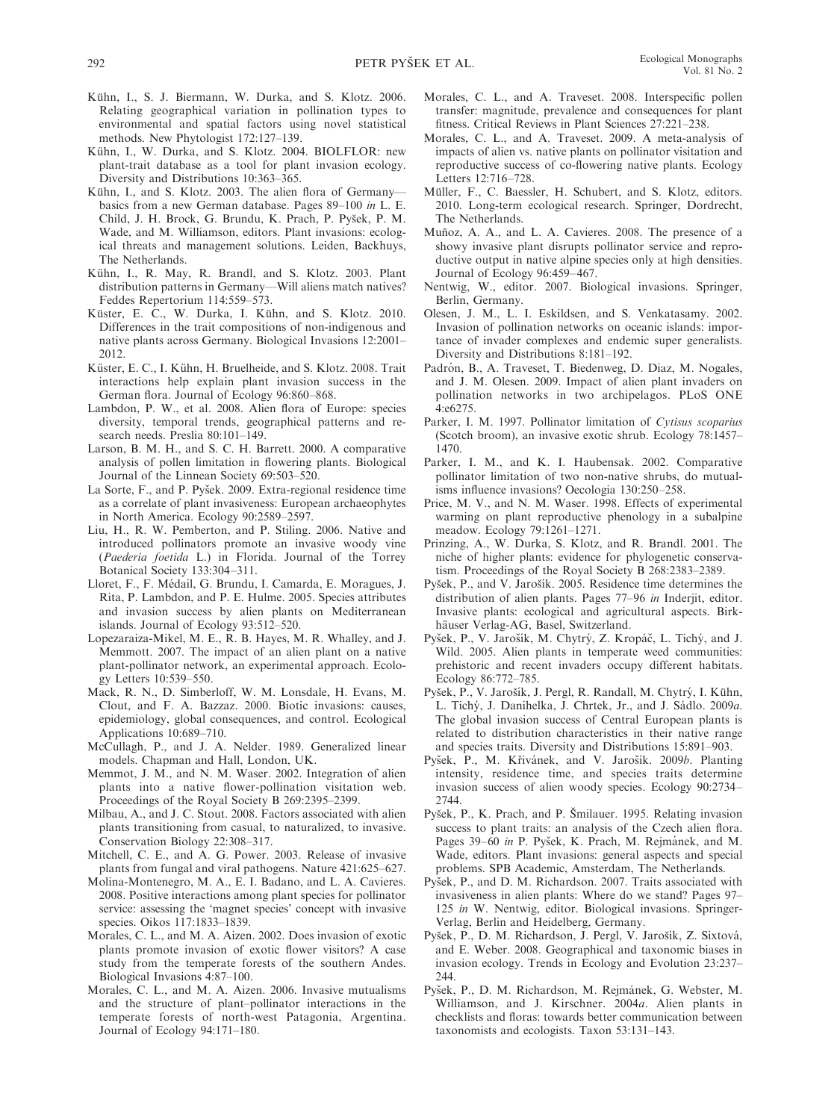- Kühn, I., S. J. Biermann, W. Durka, and S. Klotz. 2006. Relating geographical variation in pollination types to environmental and spatial factors using novel statistical methods. New Phytologist 172:127–139.
- Kühn, I., W. Durka, and S. Klotz. 2004. BIOLFLOR: new plant-trait database as a tool for plant invasion ecology. Diversity and Distributions 10:363–365.
- Kühn, I., and S. Klotz. 2003. The alien flora of Germanybasics from a new German database. Pages 89–100 in L. E. Child, J. H. Brock, G. Brundu, K. Prach, P. Pyšek, P. M. Wade, and M. Williamson, editors. Plant invasions: ecological threats and management solutions. Leiden, Backhuys, The Netherlands.
- Kühn, I., R. May, R. Brandl, and S. Klotz. 2003. Plant distribution patterns in Germany—Will aliens match natives? Feddes Repertorium 114:559–573.
- Küster, E. C., W. Durka, I. Kühn, and S. Klotz. 2010. Differences in the trait compositions of non-indigenous and native plants across Germany. Biological Invasions 12:2001– 2012.
- Küster, E. C., I. Kühn, H. Bruelheide, and S. Klotz. 2008. Trait interactions help explain plant invasion success in the German flora. Journal of Ecology 96:860–868.
- Lambdon, P. W., et al. 2008. Alien flora of Europe: species diversity, temporal trends, geographical patterns and research needs. Preslia 80:101–149.
- Larson, B. M. H., and S. C. H. Barrett. 2000. A comparative analysis of pollen limitation in flowering plants. Biological Journal of the Linnean Society 69:503–520.
- La Sorte, F., and P. Pyšek. 2009. Extra-regional residence time as a correlate of plant invasiveness: European archaeophytes in North America. Ecology 90:2589–2597.
- Liu, H., R. W. Pemberton, and P. Stiling. 2006. Native and introduced pollinators promote an invasive woody vine (Paederia foetida L.) in Florida. Journal of the Torrey Botanical Society 133:304–311.
- Lloret, F., F. Médail, G. Brundu, I. Camarda, E. Moragues, J. Rita, P. Lambdon, and P. E. Hulme. 2005. Species attributes and invasion success by alien plants on Mediterranean islands. Journal of Ecology 93:512–520.
- Lopezaraiza-Mikel, M. E., R. B. Hayes, M. R. Whalley, and J. Memmott. 2007. The impact of an alien plant on a native plant-pollinator network, an experimental approach. Ecology Letters 10:539–550.
- Mack, R. N., D. Simberloff, W. M. Lonsdale, H. Evans, M. Clout, and F. A. Bazzaz. 2000. Biotic invasions: causes, epidemiology, global consequences, and control. Ecological Applications 10:689–710.
- McCullagh, P., and J. A. Nelder. 1989. Generalized linear models. Chapman and Hall, London, UK.
- Memmot, J. M., and N. M. Waser. 2002. Integration of alien plants into a native flower-pollination visitation web. Proceedings of the Royal Society B 269:2395–2399.
- Milbau, A., and J. C. Stout. 2008. Factors associated with alien plants transitioning from casual, to naturalized, to invasive. Conservation Biology 22:308–317.
- Mitchell, C. E., and A. G. Power. 2003. Release of invasive plants from fungal and viral pathogens. Nature 421:625–627.
- Molina-Montenegro, M. A., E. I. Badano, and L. A. Cavieres. 2008. Positive interactions among plant species for pollinator service: assessing the 'magnet species' concept with invasive species. Oikos 117:1833–1839.
- Morales, C. L., and M. A. Aizen. 2002. Does invasion of exotic plants promote invasion of exotic flower visitors? A case study from the temperate forests of the southern Andes. Biological Invasions 4:87–100.
- Morales, C. L., and M. A. Aizen. 2006. Invasive mutualisms and the structure of plant–pollinator interactions in the temperate forests of north-west Patagonia, Argentina. Journal of Ecology 94:171–180.
- Morales, C. L., and A. Traveset. 2008. Interspecific pollen transfer: magnitude, prevalence and consequences for plant fitness. Critical Reviews in Plant Sciences 27:221–238.
- Morales, C. L., and A. Traveset. 2009. A meta-analysis of impacts of alien vs. native plants on pollinator visitation and reproductive success of co-flowering native plants. Ecology Letters 12:716–728.
- Müller, F., C. Baessler, H. Schubert, and S. Klotz, editors. 2010. Long-term ecological research. Springer, Dordrecht, The Netherlands.
- Muñoz, A. A., and L. A. Cavieres. 2008. The presence of a showy invasive plant disrupts pollinator service and reproductive output in native alpine species only at high densities. Journal of Ecology 96:459–467.
- Nentwig, W., editor. 2007. Biological invasions. Springer, Berlin, Germany.
- Olesen, J. M., L. I. Eskildsen, and S. Venkatasamy. 2002. Invasion of pollination networks on oceanic islands: importance of invader complexes and endemic super generalists. Diversity and Distributions 8:181–192.
- Padrón, B., A. Traveset, T. Biedenweg, D. Diaz, M. Nogales, and J. M. Olesen. 2009. Impact of alien plant invaders on pollination networks in two archipelagos. PLoS ONE 4:e6275.
- Parker, I. M. 1997. Pollinator limitation of Cytisus scoparius (Scotch broom), an invasive exotic shrub. Ecology 78:1457– 1470.
- Parker, I. M., and K. I. Haubensak. 2002. Comparative pollinator limitation of two non-native shrubs, do mutualisms influence invasions? Oecologia 130:250–258.
- Price, M. V., and N. M. Waser. 1998. Effects of experimental warming on plant reproductive phenology in a subalpine meadow. Ecology 79:1261–1271.
- Prinzing, A., W. Durka, S. Klotz, and R. Brandl. 2001. The niche of higher plants: evidence for phylogenetic conservatism. Proceedings of the Royal Society B 268:2383–2389.
- Pyšek, P., and V. Jarošík. 2005. Residence time determines the distribution of alien plants. Pages 77–96 in Inderjit, editor. Invasive plants: ecological and agricultural aspects. Birkhäuser Verlag-AG, Basel, Switzerland.
- Pyšek, P., V. Jarošík, M. Chytrý, Z. Kropáč, L. Tichý, and J. Wild. 2005. Alien plants in temperate weed communities: prehistoric and recent invaders occupy different habitats. Ecology 86:772–785.
- Pyšek, P., V. Jarošík, J. Pergl, R. Randall, M. Chytrý, I. Kühn, L. Tichý, J. Danihelka, J. Chrtek, Jr., and J. Sádlo. 2009a. The global invasion success of Central European plants is related to distribution characteristics in their native range and species traits. Diversity and Distributions 15:891–903.
- Pyšek, P., M. Křivánek, and V. Jarošík. 2009b. Planting intensity, residence time, and species traits determine invasion success of alien woody species. Ecology 90:2734– 2744.
- Pyšek, P., K. Prach, and P. Šmilauer. 1995. Relating invasion success to plant traits: an analysis of the Czech alien flora. Pages 39–60 in P. Pyšek, K. Prach, M. Rejmánek, and M. Wade, editors. Plant invasions: general aspects and special problems. SPB Academic, Amsterdam, The Netherlands.
- Pyšek, P., and D. M. Richardson. 2007. Traits associated with invasiveness in alien plants: Where do we stand? Pages 97– 125 in W. Nentwig, editor. Biological invasions. Springer-Verlag, Berlin and Heidelberg, Germany.
- Pyšek, P., D. M. Richardson, J. Pergl, V. Jarošík, Z. Sixtová, and E. Weber. 2008. Geographical and taxonomic biases in invasion ecology. Trends in Ecology and Evolution 23:237– 244.
- Pyšek, P., D. M. Richardson, M. Rejmánek, G. Webster, M. Williamson, and J. Kirschner. 2004a. Alien plants in checklists and floras: towards better communication between taxonomists and ecologists. Taxon 53:131–143.